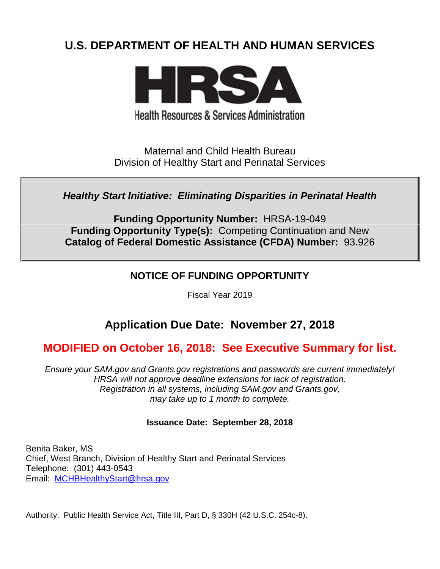# **U.S. DEPARTMENT OF HEALTH AND HUMAN SERVICES**



**Health Resources & Services Administration** 

Maternal and Child Health Bureau Division of Healthy Start and Perinatal Services

*Healthy Start Initiative: Eliminating Disparities in Perinatal Health*

**Funding Opportunity Number:** HRSA-19-049 **Funding Opportunity Type(s):** Competing Continuation and New **Catalog of Federal Domestic Assistance (CFDA) Number:** 93.926

# **NOTICE OF FUNDING OPPORTUNITY**

Fiscal Year 2019

# **Application Due Date: November 27, 2018**

# **MODIFIED on October 16, 2018: See Executive Summary for list.**

*Ensure your SAM.gov and Grants.gov registrations and passwords are current immediately! HRSA will not approve deadline extensions for lack of registration. Registration in all systems, including SAM.gov and Grants.gov, may take up to 1 month to complete.*

## **Issuance Date: September 28, 2018**

Benita Baker, MS Chief, West Branch, Division of Healthy Start and Perinatal Services Telephone: (301) 443-0543 Email: [MCHBHealthyStart@hrsa.gov](mailto:MCHBHealthyStart@hrsa.gov)

Authority: Public Health Service Act, Title III, Part D, § 330H (42 U.S.C. 254c-8).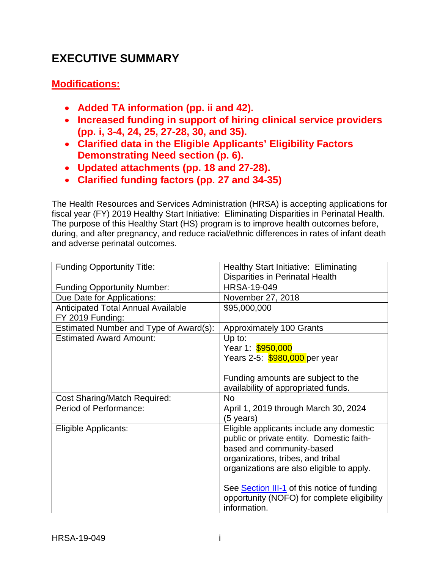# **EXECUTIVE SUMMARY**

# **Modifications:**

- **Added TA information (pp. ii and 42).**
- **Increased funding in support of hiring clinical service providers (pp. i, 3-4, 24, 25, 27-28, 30, and 35).**
- **Clarified data in the Eligible Applicants' Eligibility Factors Demonstrating Need section (p. 6).**
- **Updated attachments (pp. 18 and 27-28).**
- **Clarified funding factors (pp. 27 and 34-35)**

The Health Resources and Services Administration (HRSA) is accepting applications for fiscal year (FY) 2019 Healthy Start Initiative: Eliminating Disparities in Perinatal Health. The purpose of this Healthy Start (HS) program is to improve health outcomes before, during, and after pregnancy, and reduce racial/ethnic differences in rates of infant death and adverse perinatal outcomes.

| <b>Funding Opportunity Title:</b>                             | <b>Healthy Start Initiative: Eliminating</b>                                                                                                                                                                                                               |
|---------------------------------------------------------------|------------------------------------------------------------------------------------------------------------------------------------------------------------------------------------------------------------------------------------------------------------|
|                                                               | <b>Disparities in Perinatal Health</b>                                                                                                                                                                                                                     |
| <b>Funding Opportunity Number:</b>                            | <b>HRSA-19-049</b>                                                                                                                                                                                                                                         |
| Due Date for Applications:                                    | November 27, 2018                                                                                                                                                                                                                                          |
| <b>Anticipated Total Annual Available</b><br>FY 2019 Funding: | \$95,000,000                                                                                                                                                                                                                                               |
| Estimated Number and Type of Award(s):                        | Approximately 100 Grants                                                                                                                                                                                                                                   |
| <b>Estimated Award Amount:</b>                                | Up to:<br>Year 1: \$950,000                                                                                                                                                                                                                                |
|                                                               | Years 2-5: \$980,000 per year                                                                                                                                                                                                                              |
|                                                               | Funding amounts are subject to the<br>availability of appropriated funds.                                                                                                                                                                                  |
| <b>Cost Sharing/Match Required:</b>                           | <b>No</b>                                                                                                                                                                                                                                                  |
| Period of Performance:                                        | April 1, 2019 through March 30, 2024<br>(5 years)                                                                                                                                                                                                          |
| Eligible Applicants:                                          | Eligible applicants include any domestic<br>public or private entity. Domestic faith-<br>based and community-based<br>organizations, tribes, and tribal<br>organizations are also eligible to apply.<br>See <b>Section III-1</b> of this notice of funding |
|                                                               | opportunity (NOFO) for complete eligibility<br>information.                                                                                                                                                                                                |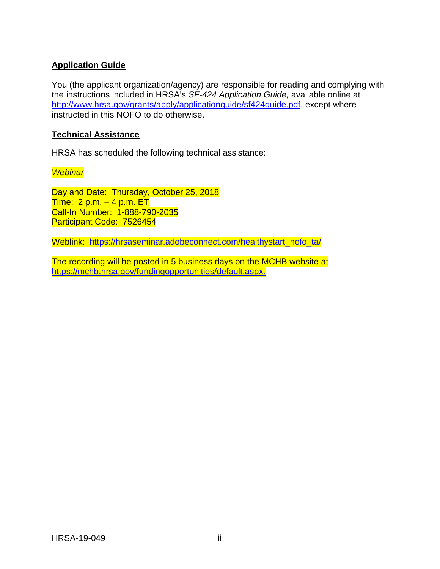## **Application Guide**

You (the applicant organization/agency) are responsible for reading and complying with the instructions included in HRSA's *SF-424 Application Guide,* available online at [http://www.hrsa.gov/grants/apply/applicationguide/sf424guide.pdf,](http://www.hrsa.gov/grants/apply/applicationguide/sf424guide.pdf) except where instructed in this NOFO to do otherwise.

### **Technical Assistance**

HRSA has scheduled the following technical assistance:

#### *Webinar*

Day and Date: Thursday, October 25, 2018 Time:  $2 p.m. - 4 p.m. E T$ Call-In Number: 1-888-790-2035 Participant Code: 7526454

Weblink: [https://hrsaseminar.adobeconnect.com/healthystart\\_nofo\\_ta/](https://hrsaseminar.adobeconnect.com/healthystart_nofo_ta/)

The recording will be posted in 5 business days on the MCHB website at [https://mchb.hrsa.gov/fundingopportunities/default.aspx.](https://mchb.hrsa.gov/fundingopportunities/default.aspx)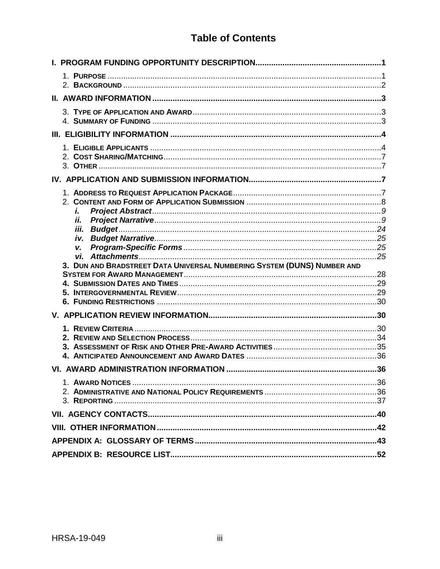# **Table of Contents**

| i.<br>ii.                                                               |  |
|-------------------------------------------------------------------------|--|
|                                                                         |  |
| V.                                                                      |  |
|                                                                         |  |
|                                                                         |  |
| 3. DUN AND BRADSTREET DATA UNIVERSAL NUMBERING SYSTEM (DUNS) NUMBER AND |  |
|                                                                         |  |
|                                                                         |  |
|                                                                         |  |
|                                                                         |  |
|                                                                         |  |
|                                                                         |  |
|                                                                         |  |
|                                                                         |  |
|                                                                         |  |
|                                                                         |  |
|                                                                         |  |
|                                                                         |  |
|                                                                         |  |
|                                                                         |  |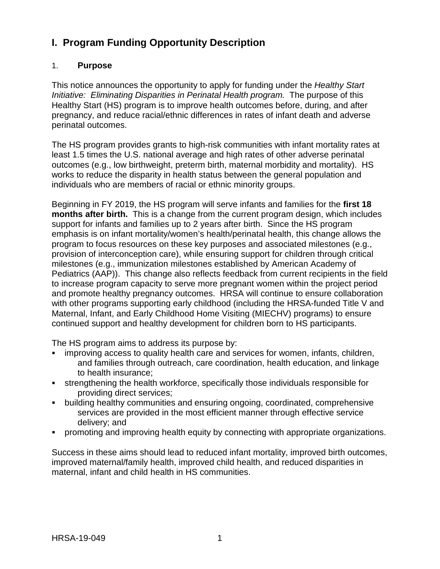# <span id="page-4-0"></span>**I. Program Funding Opportunity Description**

## <span id="page-4-1"></span>1. **Purpose**

This notice announces the opportunity to apply for funding under the *Healthy Start Initiative: Eliminating Disparities in Perinatal Health program.* The purpose of this Healthy Start (HS) program is to improve health outcomes before, during, and after pregnancy, and reduce racial/ethnic differences in rates of infant death and adverse perinatal outcomes.

The HS program provides grants to high-risk communities with infant mortality rates at least 1.5 times the U.S. national average and high rates of other adverse perinatal outcomes (e.g., low birthweight, preterm birth, maternal morbidity and mortality). HS works to reduce the disparity in health status between the general population and individuals who are members of racial or ethnic minority groups.

Beginning in FY 2019, the HS program will serve infants and families for the **first 18 months after birth.** This is a change from the current program design, which includes support for infants and families up to 2 years after birth. Since the HS program emphasis is on infant mortality/women's health/perinatal health, this change allows the program to focus resources on these key purposes and associated milestones (e.g., provision of interconception care), while ensuring support for children through critical milestones (e.g., immunization milestones established by American Academy of Pediatrics (AAP)). This change also reflects feedback from current recipients in the field to increase program capacity to serve more pregnant women within the project period and promote healthy pregnancy outcomes. HRSA will continue to ensure collaboration with other programs supporting early childhood (including the HRSA-funded Title V and Maternal, Infant, and Early Childhood Home Visiting (MIECHV) programs) to ensure continued support and healthy development for children born to HS participants.

The HS program aims to address its purpose by:

- improving access to quality health care and services for women, infants, children, and families through outreach, care coordination, health education, and linkage to health insurance;
- strengthening the health workforce, specifically those individuals responsible for providing direct services;
- building healthy communities and ensuring ongoing, coordinated, comprehensive services are provided in the most efficient manner through effective service delivery; and
- promoting and improving health equity by connecting with appropriate organizations.

Success in these aims should lead to reduced infant mortality, improved birth outcomes, improved maternal/family health, improved child health, and reduced disparities in maternal, infant and child health in HS communities.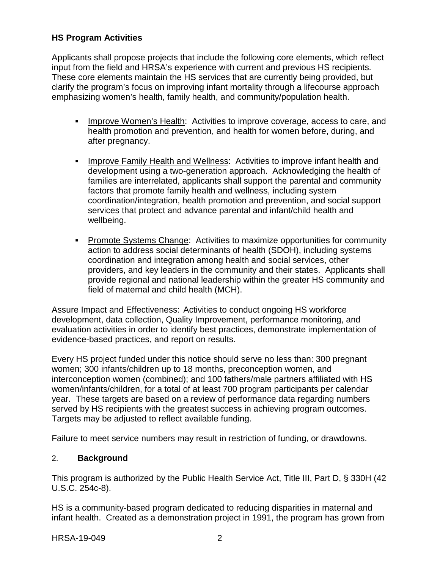## **HS Program Activities**

Applicants shall propose projects that include the following core elements, which reflect input from the field and HRSA's experience with current and previous HS recipients. These core elements maintain the HS services that are currently being provided, but clarify the program's focus on improving infant mortality through a lifecourse approach emphasizing women's health, family health, and community/population health.

- Improve Women's Health: Activities to improve coverage, access to care, and health promotion and prevention, and health for women before, during, and after pregnancy.
- **IMPROVE Family Health and Wellness: Activities to improve infant health and** development using a two-generation approach. Acknowledging the health of families are interrelated, applicants shall support the parental and community factors that promote family health and wellness, including system coordination/integration, health promotion and prevention, and social support services that protect and advance parental and infant/child health and wellbeing.
- Promote Systems Change: Activities to maximize opportunities for community action to address social determinants of health (SDOH), including systems coordination and integration among health and social services, other providers, and key leaders in the community and their states. Applicants shall provide regional and national leadership within the greater HS community and field of maternal and child health (MCH).

Assure Impact and Effectiveness: Activities to conduct ongoing HS workforce development, data collection, Quality Improvement, performance monitoring, and evaluation activities in order to identify best practices, demonstrate implementation of evidence-based practices, and report on results.

Every HS project funded under this notice should serve no less than: 300 pregnant women; 300 infants/children up to 18 months, preconception women, and interconception women (combined); and 100 fathers/male partners affiliated with HS women/infants/children, for a total of at least 700 program participants per calendar year. These targets are based on a review of performance data regarding numbers served by HS recipients with the greatest success in achieving program outcomes. Targets may be adjusted to reflect available funding.

Failure to meet service numbers may result in restriction of funding, or drawdowns.

## <span id="page-5-0"></span>2. **Background**

This program is authorized by the Public Health Service Act, Title III, Part D, § 330H (42 U.S.C. 254c-8).

HS is a community-based program dedicated to reducing disparities in maternal and infant health. Created as a demonstration project in 1991, the program has grown from

HRSA-19-049 2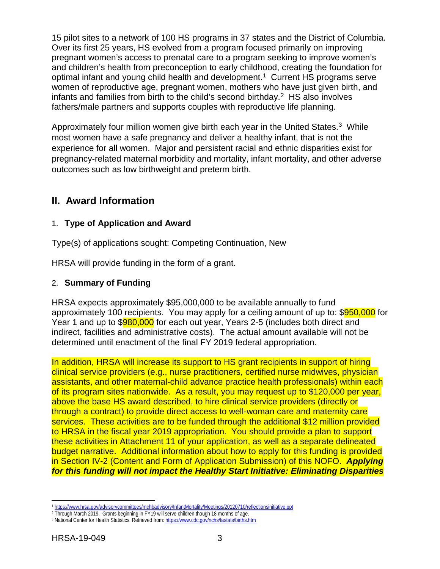15 pilot sites to a network of 100 HS programs in 37 states and the District of Columbia. Over its first 25 years, HS evolved from a program focused primarily on improving pregnant women's access to prenatal care to a program seeking to improve women's and children's health from preconception to early childhood, creating the foundation for optimal infant and young child health and development. [1](#page-6-3) Current HS programs serve women of reproductive age, pregnant women, mothers who have just given birth, and infants and families from birth to the child's second birthday. [2](#page-6-4) HS also involves fathers/male partners and supports couples with reproductive life planning.

Approximately four million women give birth each year in the United States.<sup>[3](#page-6-5)</sup> While most women have a safe pregnancy and deliver a healthy infant, that is not the experience for all women. Major and persistent racial and ethnic disparities exist for pregnancy-related maternal morbidity and mortality, infant mortality, and other adverse outcomes such as low birthweight and preterm birth.

# <span id="page-6-0"></span>**II. Award Information**

## <span id="page-6-1"></span>1. **Type of Application and Award**

Type(s) of applications sought: Competing Continuation, New

HRSA will provide funding in the form of a grant.

#### <span id="page-6-2"></span>2. **Summary of Funding**

HRSA expects approximately \$95,000,000 to be available annually to fund approximately 100 recipients. You may apply for a ceiling amount of up to: \$950,000 for Year 1 and up to \$980,000 for each out year, Years 2-5 (includes both direct and indirect, facilities and administrative costs). The actual amount available will not be determined until enactment of the final FY 2019 federal appropriation.

In addition, HRSA will increase its support to HS grant recipients in support of hiring clinical service providers (e.g., nurse practitioners, certified nurse midwives, physician assistants, and other maternal-child advance practice health professionals) within each of its program sites nationwide. As a result, you may request up to \$120,000 per year, above the base HS award described, to hire clinical service providers (directly or through a contract) to provide direct access to well-woman care and maternity care services. These activities are to be funded through the additional \$12 million provided to HRSA in the fiscal year 2019 appropriation. You should provide a plan to support these activities in Attachment 11 of your application, as well as a separate delineated budget narrative. Additional information about how to apply for this funding is provided in Section IV-2 (Content and Form of Application Submission) of this NOFO. *Applying for this funding will not impact the Healthy Start Initiative: Eliminating Disparities* 

<span id="page-6-3"></span><sup>1</sup> <https://www.hrsa.gov/advisorycommittees/mchbadvisory/InfantMortality/Meetings/20120710/reflectionsinitiative.ppt>

<span id="page-6-5"></span><span id="page-6-4"></span><sup>&</sup>lt;sup>2</sup> Through March 2019. Grants beginning in FY19 will serve children though 18 months of age.

<sup>3</sup> National Center for Health Statistics. Retrieved from[: https://www.cdc.gov/nchs/fastats/births.htm](https://www.cdc.gov/nchs/fastats/births.htm)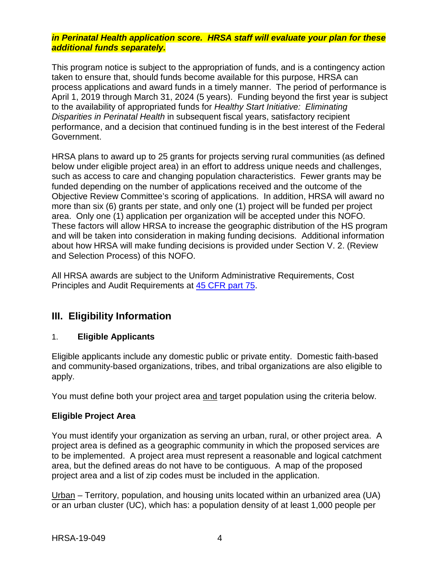#### *in Perinatal Health application score. HRSA staff will evaluate your plan for these additional funds separately.*

This program notice is subject to the appropriation of funds, and is a contingency action taken to ensure that, should funds become available for this purpose, HRSA can process applications and award funds in a timely manner. The period of performance is April 1, 2019 through March 31, 2024 (5 years). Funding beyond the first year is subject to the availability of appropriated funds for *Healthy Start Initiative: Eliminating Disparities in Perinatal Health* in subsequent fiscal years, satisfactory recipient performance, and a decision that continued funding is in the best interest of the Federal Government.

HRSA plans to award up to 25 grants for projects serving rural communities (as defined below under eligible project area) in an effort to address unique needs and challenges, such as access to care and changing population characteristics. Fewer grants may be funded depending on the number of applications received and the outcome of the Objective Review Committee's scoring of applications. In addition, HRSA will award no more than six (6) grants per state, and only one (1) project will be funded per project area. Only one (1) application per organization will be accepted under this NOFO. These factors will allow HRSA to increase the geographic distribution of the HS program and will be taken into consideration in making funding decisions. Additional information about how HRSA will make funding decisions is provided under Section V. 2. (Review and Selection Process) of this NOFO.

All HRSA awards are subject to the Uniform Administrative Requirements, Cost Principles and Audit Requirements at [45 CFR part 75.](http://www.ecfr.gov/cgi-bin/retrieveECFR?gp=1&SID=4d52364ec83fab994c665943dadf9cf7&ty=HTML&h=L&r=PART&n=pt45.1.75)

# <span id="page-7-1"></span>**III. Eligibility Information**

## <span id="page-7-0"></span>1. **Eligible Applicants**

Eligible applicants include any domestic public or private entity. Domestic faith-based and community-based organizations, tribes, and tribal organizations are also eligible to apply.

You must define both your project area and target population using the criteria below.

#### **Eligible Project Area**

You must identify your organization as serving an urban, rural, or other project area. A project area is defined as a geographic community in which the proposed services are to be implemented. A project area must represent a reasonable and logical catchment area, but the defined areas do not have to be contiguous. A map of the proposed project area and a list of zip codes must be included in the application.

Urban – Territory, population, and housing units located within an urbanized area (UA) or an urban cluster (UC), which has: a population density of at least 1,000 people per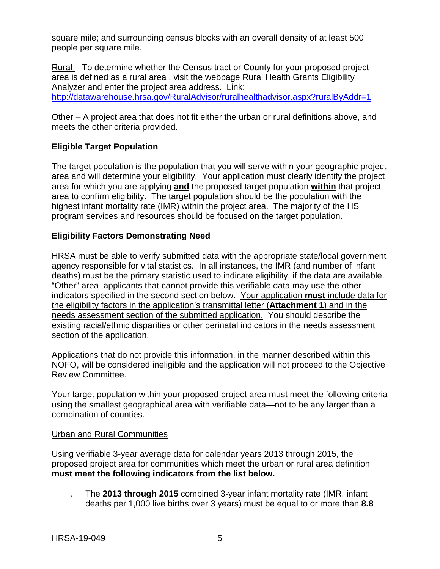square mile; and surrounding census blocks with an overall density of at least 500 people per square mile.

Rural – To determine whether the Census tract or County for your proposed project area is defined as a rural area , visit the webpage Rural Health Grants Eligibility Analyzer and enter the project area address. Link:

<http://datawarehouse.hrsa.gov/RuralAdvisor/ruralhealthadvisor.aspx?ruralByAddr=1>

Other – A project area that does not fit either the urban or rural definitions above, and meets the other criteria provided.

# **Eligible Target Population**

The target population is the population that you will serve within your geographic project area and will determine your eligibility. Your application must clearly identify the project area for which you are applying **and** the proposed target population **within** that project area to confirm eligibility. The target population should be the population with the highest infant mortality rate (IMR) within the project area. The majority of the HS program services and resources should be focused on the target population.

## **Eligibility Factors Demonstrating Need**

HRSA must be able to verify submitted data with the appropriate state/local government agency responsible for vital statistics. In all instances, the IMR (and number of infant deaths) must be the primary statistic used to indicate eligibility, if the data are available. "Other" area applicants that cannot provide this verifiable data may use the other indicators specified in the second section below. Your application **must** include data for the eligibility factors in the application's transmittal letter (**Attachment 1**) and in the needs assessment section of the submitted application. You should describe the existing racial/ethnic disparities or other perinatal indicators in the needs assessment section of the application.

Applications that do not provide this information, in the manner described within this NOFO, will be considered ineligible and the application will not proceed to the Objective Review Committee.

Your target population within your proposed project area must meet the following criteria using the smallest geographical area with verifiable data—not to be any larger than a combination of counties.

#### Urban and Rural Communities

Using verifiable 3-year average data for calendar years 2013 through 2015, the proposed project area for communities which meet the urban or rural area definition **must meet the following indicators from the list below.**

i. The **2013 through 2015** combined 3-year infant mortality rate (IMR, infant deaths per 1,000 live births over 3 years) must be equal to or more than **8.8**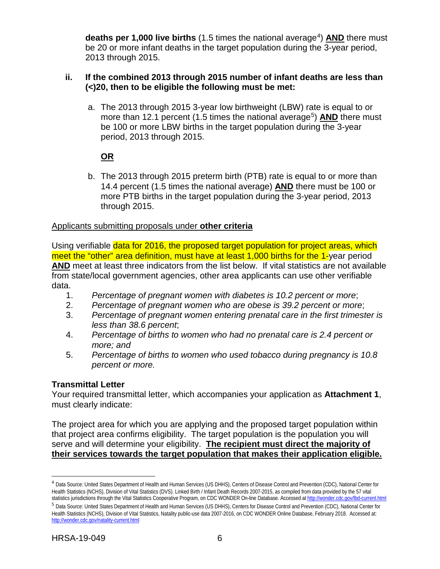**deaths per 1,000 live births** (1.5 times the national average<sup>4</sup>) AND there must be 20 or more infant deaths in the target population during the 3-year period, 2013 through 2015.

#### **ii. If the combined 2013 through 2015 number of infant deaths are less than (<)20, then to be eligible the following must be met:**

a. The 2013 through 2015 3-year low birthweight (LBW) rate is equal to or more than 12.1 percent (1.5 times the national average<sup>5</sup>) **AND** there must be 100 or more LBW births in the target population during the 3-year period, 2013 through 2015.

# **OR**

b. The 2013 through 2015 preterm birth (PTB) rate is equal to or more than 14.4 percent (1.5 times the national average) **AND** there must be 100 or more PTB births in the target population during the 3-year period, 2013 through 2015.

#### Applicants submitting proposals under **other criteria**

Using verifiable data for 2016, the proposed target population for project areas, which meet the "other" area definition, must have at least 1,000 births for the 1-year period **AND** meet at least three indicators from the list below. If vital statistics are not available from state/local government agencies, other area applicants can use other verifiable data.

- 1. *Percentage of pregnant women with diabetes is 10.2 percent or more*;
- 2. *Percentage of pregnant women who are obese is 39.2 percent or more*;
- 3. *Percentage of pregnant women entering prenatal care in the first trimester is less than 38.6 percent*;
- 4. *Percentage of births to women who had no prenatal care is 2.4 percent or more; and*
- 5. *Percentage of births to women who used tobacco during pregnancy is 10.8 percent or more.*

## **Transmittal Letter**

Your required transmittal letter, which accompanies your application as **Attachment 1**, must clearly indicate:

The project area for which you are applying and the proposed target population within that project area confirms eligibility. The target population is the population you will serve and will determine your eligibility. **The recipient must direct the majority of their services towards the target population that makes their application eligible.**

<span id="page-9-0"></span><sup>4</sup> Data Source: United States Department of Health and Human Services (US DHHS), Centers of Disease Control and Prevention (CDC), National Center for Health Statistics (NCHS), Division of Vital Statistics (DVS). Linked Birth / Infant Death Records 2007-2015, as compiled from data provided by the 57 vital statistics jurisdictions through the Vital Statistics Cooperative Program, on CDC WONDER On-line Database. Accessed at <http://wonder.cdc.gov/lbd-current.html>

<span id="page-9-1"></span><sup>5</sup> Data Source: United States Department of Health and Human Services (US DHHS), Centers for Disease Control and Prevention (CDC), National Center for Health Statistics (NCHS), Division of Vital Statistics, Natality public-use data 2007-2016, on CDC WONDER Online Database, February 2018. Accessed at: <http://wonder.cdc.gov/natality-current.html>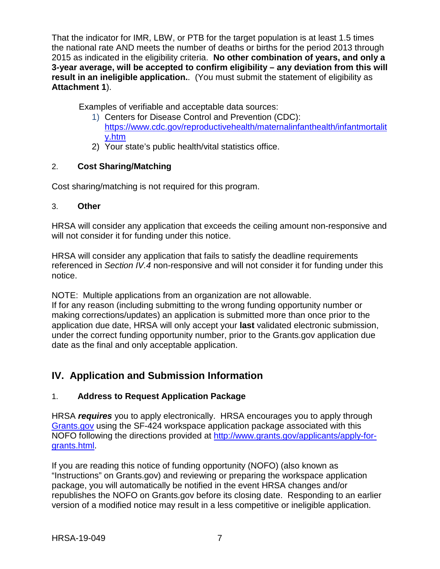That the indicator for IMR, LBW, or PTB for the target population is at least 1.5 times the national rate AND meets the number of deaths or births for the period 2013 through 2015 as indicated in the eligibility criteria. **No other combination of years, and only a 3-year average, will be accepted to confirm eligibility – any deviation from this will result in an ineligible application.**. (You must submit the statement of eligibility as **Attachment 1**).

Examples of verifiable and acceptable data sources:

- 1) Centers for Disease Control and Prevention (CDC): [https://www.cdc.gov/reproductivehealth/maternalinfanthealth/infantmortalit](https://www.cdc.gov/reproductivehealth/maternalinfanthealth/infantmortality.htm) [y.htm](https://www.cdc.gov/reproductivehealth/maternalinfanthealth/infantmortality.htm)
- 2) Your state's public health/vital statistics office.

# <span id="page-10-0"></span>2. **Cost Sharing/Matching**

Cost sharing/matching is not required for this program.

# <span id="page-10-1"></span>3. **Other**

HRSA will consider any application that exceeds the ceiling amount non-responsive and will not consider it for funding under this notice.

HRSA will consider any application that fails to satisfy the deadline requirements referenced in *Section IV.4* non-responsive and will not consider it for funding under this notice.

NOTE: Multiple applications from an organization are not allowable. If for any reason (including submitting to the wrong funding opportunity number or making corrections/updates) an application is submitted more than once prior to the application due date, HRSA will only accept your **last** validated electronic submission, under the correct funding opportunity number, prior to the Grants.gov application due date as the final and only acceptable application.

# <span id="page-10-2"></span>**IV. Application and Submission Information**

# <span id="page-10-3"></span>1. **Address to Request Application Package**

HRSA *requires* you to apply electronically. HRSA encourages you to apply through [Grants.gov](https://www.grants.gov/) using the SF-424 workspace application package associated with this NOFO following the directions provided at [http://www.grants.gov/applicants/apply-for](http://www.grants.gov/applicants/apply-for-grants.html)[grants.html.](http://www.grants.gov/applicants/apply-for-grants.html)

If you are reading this notice of funding opportunity (NOFO) (also known as "Instructions" on Grants.gov) and reviewing or preparing the workspace application package, you will automatically be notified in the event HRSA changes and/or republishes the NOFO on Grants.gov before its closing date. Responding to an earlier version of a modified notice may result in a less competitive or ineligible application.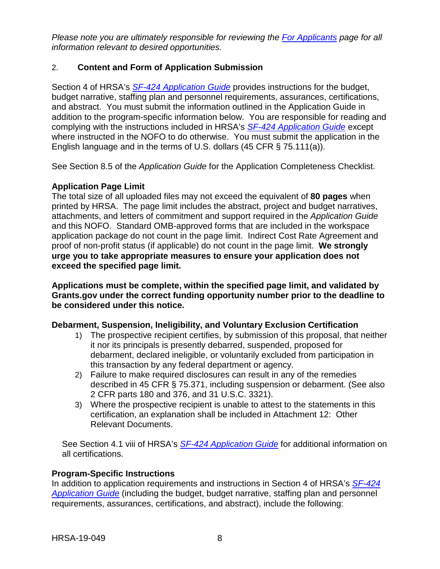*Please note you are ultimately responsible for reviewing the [For Applicants](https://www.grants.gov/web/grants/applicants.html) page for all information relevant to desired opportunities.*

## <span id="page-11-0"></span>2. **Content and Form of Application Submission**

Section 4 of HRSA's *SF-424 [Application Guide](http://www.hrsa.gov/grants/apply/applicationguide/sf424guide.pdf)* provides instructions for the budget, budget narrative, staffing plan and personnel requirements, assurances, certifications, and abstract. You must submit the information outlined in the Application Guide in addition to the program-specific information below. You are responsible for reading and complying with the instructions included in HRSA's *SF-424 [Application Guide](http://www.hrsa.gov/grants/apply/applicationguide/sf424guide.pdf)* except where instructed in the NOFO to do otherwise. You must submit the application in the English language and in the terms of U.S. dollars (45 CFR § 75.111(a)).

See Section 8.5 of the *Application Guide* for the Application Completeness Checklist.

## **Application Page Limit**

The total size of all uploaded files may not exceed the equivalent of **80 pages** when printed by HRSA. The page limit includes the abstract, project and budget narratives, attachments, and letters of commitment and support required in the *Application Guide* and this NOFO. Standard OMB-approved forms that are included in the workspace application package do not count in the page limit. Indirect Cost Rate Agreement and proof of non-profit status (if applicable) do not count in the page limit. **We strongly urge you to take appropriate measures to ensure your application does not exceed the specified page limit.**

**Applications must be complete, within the specified page limit, and validated by Grants.gov under the correct funding opportunity number prior to the deadline to be considered under this notice.**

#### **Debarment, Suspension, Ineligibility, and Voluntary Exclusion Certification**

- 1) The prospective recipient certifies, by submission of this proposal, that neither it nor its principals is presently debarred, suspended, proposed for debarment, declared ineligible, or voluntarily excluded from participation in this transaction by any federal department or agency.
- 2) Failure to make required disclosures can result in any of the remedies described in 45 CFR § 75.371, including suspension or debarment. (See also 2 CFR parts 180 and 376, and 31 U.S.C. 3321).
- 3) Where the prospective recipient is unable to attest to the statements in this certification, an explanation shall be included in Attachment 12: Other Relevant Documents.

See Section 4.1 viii of HRSA's *SF-424 [Application Guide](http://www.hrsa.gov/grants/apply/applicationguide/sf424guide.pdf)* for additional information on all certifications.

#### **Program-Specific Instructions**

In addition to application requirements and instructions in Section 4 of HRSA's *[SF-424](http://www.hrsa.gov/grants/apply/applicationguide/sf424guide.pdf) [Application Guide](http://www.hrsa.gov/grants/apply/applicationguide/sf424guide.pdf)* (including the budget, budget narrative, staffing plan and personnel requirements, assurances, certifications, and abstract), include the following: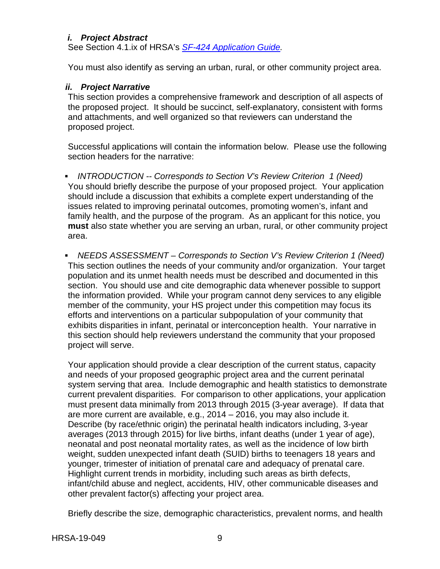#### <span id="page-12-0"></span>*i. Project Abstract*

See Section 4.1.ix of HRSA's *SF-424 [Application Guide.](http://www.hrsa.gov/grants/apply/applicationguide/sf424guide.pdf)*

You must also identify as serving an urban, rural, or other community project area.

#### <span id="page-12-1"></span>*ii. Project Narrative*

This section provides a comprehensive framework and description of all aspects of the proposed project. It should be succinct, self-explanatory, consistent with forms and attachments, and well organized so that reviewers can understand the proposed project.

Successful applications will contain the information below. Please use the following section headers for the narrative:

 *INTRODUCTION -- Corresponds to Section V's Review Criterion 1 (Need)* You should briefly describe the purpose of your proposed project. Your application should include a discussion that exhibits a complete expert understanding of the issues related to improving perinatal outcomes, promoting women's, infant and family health, and the purpose of the program. As an applicant for this notice, you **must** also state whether you are serving an urban, rural, or other community project area.

 *NEEDS ASSESSMENT – Corresponds to Section V's Review Criterion 1 (Need)* This section outlines the needs of your community and/or organization. Your target population and its unmet health needs must be described and documented in this section. You should use and cite demographic data whenever possible to support the information provided. While your program cannot deny services to any eligible member of the community, your HS project under this competition may focus its efforts and interventions on a particular subpopulation of your community that exhibits disparities in infant, perinatal or interconception health. Your narrative in this section should help reviewers understand the community that your proposed project will serve.

Your application should provide a clear description of the current status, capacity and needs of your proposed geographic project area and the current perinatal system serving that area. Include demographic and health statistics to demonstrate current prevalent disparities. For comparison to other applications, your application must present data minimally from 2013 through 2015 (3-year average). If data that are more current are available, e.g., 2014 – 2016, you may also include it. Describe (by race/ethnic origin) the perinatal health indicators including, 3-year averages (2013 through 2015) for live births, infant deaths (under 1 year of age), neonatal and post neonatal mortality rates, as well as the incidence of low birth weight, sudden unexpected infant death (SUID) births to teenagers 18 years and younger, trimester of initiation of prenatal care and adequacy of prenatal care. Highlight current trends in morbidity, including such areas as birth defects, infant/child abuse and neglect, accidents, HIV, other communicable diseases and other prevalent factor(s) affecting your project area.

Briefly describe the size, demographic characteristics, prevalent norms, and health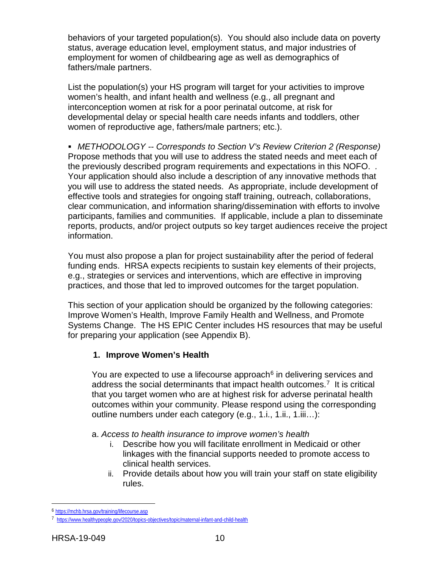behaviors of your targeted population(s). You should also include data on poverty status, average education level, employment status, and major industries of employment for women of childbearing age as well as demographics of fathers/male partners.

List the population(s) your HS program will target for your activities to improve women's health, and infant health and wellness (e.g., all pregnant and interconception women at risk for a poor perinatal outcome, at risk for developmental delay or special health care needs infants and toddlers, other women of reproductive age, fathers/male partners; etc.).

 *METHODOLOGY -- Corresponds to Section V's Review Criterion 2 (Response)* Propose methods that you will use to address the stated needs and meet each of the previously described program requirements and expectations in this NOFO. *.* Your application should also include a description of any innovative methods that you will use to address the stated needs. As appropriate, include development of effective tools and strategies for ongoing staff training, outreach, collaborations, clear communication, and information sharing/dissemination with efforts to involve participants, families and communities. If applicable, include a plan to disseminate reports, products, and/or project outputs so key target audiences receive the project information.

You must also propose a plan for project sustainability after the period of federal funding ends. HRSA expects recipients to sustain key elements of their projects, e.g., strategies or services and interventions, which are effective in improving practices, and those that led to improved outcomes for the target population.

This section of your application should be organized by the following categories: Improve Women's Health, Improve Family Health and Wellness, and Promote Systems Change. The HS EPIC Center includes HS resources that may be useful for preparing your application (see Appendix B).

## **1. Improve Women's Health**

You are expected to use a lifecourse approach<sup>[6](#page-13-0)</sup> in delivering services and address the social determinants that impact health outcomes.<sup>[7](#page-13-1)</sup> It is critical that you target women who are at highest risk for adverse perinatal health outcomes within your community. Please respond using the corresponding outline numbers under each category (e.g., 1.i., 1.ii., 1.iii…):

#### a. *Access to health insurance to improve women's health*

- i. Describe how you will facilitate enrollment in Medicaid or other linkages with the financial supports needed to promote access to clinical health services.
- ii. Provide details about how you will train your staff on state eligibility rules.

<span id="page-13-1"></span><span id="page-13-0"></span><sup>6</sup> <https://mchb.hrsa.gov/training/lifecourse.asp>

<sup>7</sup> <https://www.healthypeople.gov/2020/topics-objectives/topic/maternal-infant-and-child-health>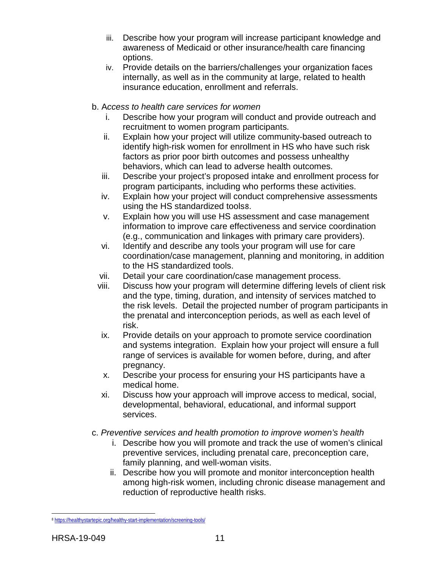- iii. Describe how your program will increase participant knowledge and awareness of Medicaid or other insurance/health care financing options.
- iv. Provide details on the barriers/challenges your organization faces internally, as well as in the community at large, related to health insurance education, enrollment and referrals.
- b. A*ccess to health care services for women*
	- i. Describe how your program will conduct and provide outreach and recruitment to women program participants.
	- ii. Explain how your project will utilize community-based outreach to identify high-risk women for enrollment in HS who have such risk factors as prior poor birth outcomes and possess unhealthy behaviors, which can lead to adverse health outcomes.
	- iii. Describe your project's proposed intake and enrollment process for program participants, including who performs these activities.
	- iv. Explain how your project will conduct comprehensive assessments using the HS standardized tools[8](#page-14-0).
	- v. Explain how you will use HS assessment and case management information to improve care effectiveness and service coordination (e.g., communication and linkages with primary care providers).
	- vi. Identify and describe any tools your program will use for care coordination/case management, planning and monitoring, in addition to the HS standardized tools.
	- vii. Detail your care coordination/case management process.
	- viii. Discuss how your program will determine differing levels of client risk and the type, timing, duration, and intensity of services matched to the risk levels. Detail the projected number of program participants in the prenatal and interconception periods, as well as each level of risk.
	- ix. Provide details on your approach to promote service coordination and systems integration. Explain how your project will ensure a full range of services is available for women before, during, and after pregnancy.
	- x. Describe your process for ensuring your HS participants have a medical home.
	- xi. Discuss how your approach will improve access to medical, social, developmental, behavioral, educational, and informal support services.
- c. *Preventive services and health promotion to improve women's health*
	- i. Describe how you will promote and track the use of women's clinical preventive services, including prenatal care, preconception care, family planning, and well-woman visits.
	- ii. Describe how you will promote and monitor interconception health among high-risk women, including chronic disease management and reduction of reproductive health risks.

<span id="page-14-0"></span> $\overline{a}$ <sup>8</sup> <https://healthystartepic.org/healthy-start-implementation/screening-tools/>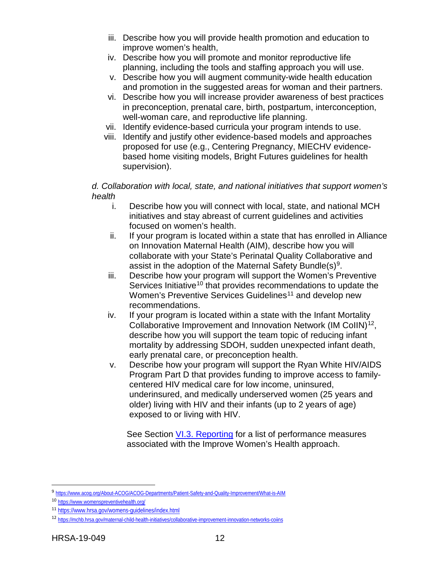- iii. Describe how you will provide health promotion and education to improve women's health,
- iv. Describe how you will promote and monitor reproductive life planning, including the tools and staffing approach you will use.
- v. Describe how you will augment community-wide health education and promotion in the suggested areas for woman and their partners.
- vi. Describe how you will increase provider awareness of best practices in preconception, prenatal care, birth, postpartum, interconception, well-woman care, and reproductive life planning.
- vii. Identify evidence-based curricula your program intends to use.
- viii. Identify and justify other evidence-based models and approaches proposed for use (e.g., Centering Pregnancy, MIECHV evidencebased home visiting models, Bright Futures guidelines for health supervision).

#### *d. Collaboration with local, state, and national initiatives that support women's health*

- i. Describe how you will connect with local, state, and national MCH initiatives and stay abreast of current guidelines and activities focused on women's health.
- ii. If your program is located within a state that has enrolled in Alliance on Innovation Maternal Health (AIM), describe how you will collaborate with your State's Perinatal Quality Collaborative and assist in the adoption of the Maternal Safety Bundle(s)<sup>[9](#page-15-0)</sup>.
- iii. Describe how your program will support the Women's Preventive Services Initiative<sup>[10](#page-15-1)</sup> that provides recommendations to update the Women's Preventive Services Guidelines<sup>[11](#page-15-2)</sup> and develop new recommendations.
- iv. If your program is located within a state with the Infant Mortality Collaborative Improvement and Innovation Network (IM CoIIN)<sup>12</sup>, describe how you will support the team topic of reducing infant mortality by addressing SDOH, sudden unexpected infant death, early prenatal care, or preconception health.
- v. Describe how your program will support the Ryan White HIV/AIDS Program Part D that provides funding to improve access to familycentered HIV medical care for low income, uninsured, underinsured, and medically underserved women (25 years and older) living with HIV and their infants (up to 2 years of age) exposed to or living with HIV.

See Section [VI.3. Reporting](#page-40-0) for a list of performance measures associated with the Improve Women's Health approach.

<span id="page-15-0"></span><sup>9</sup> <https://www.acog.org/About-ACOG/ACOG-Departments/Patient-Safety-and-Quality-Improvement/What-is-AIM>

<span id="page-15-1"></span><sup>10</sup> <https://www.womenspreventivehealth.org/>

<span id="page-15-2"></span><sup>11</sup> <https://www.hrsa.gov/womens-guidelines/index.html>

<span id="page-15-3"></span><sup>12</sup> <https://mchb.hrsa.gov/maternal-child-health-initiatives/collaborative-improvement-innovation-networks-coiins>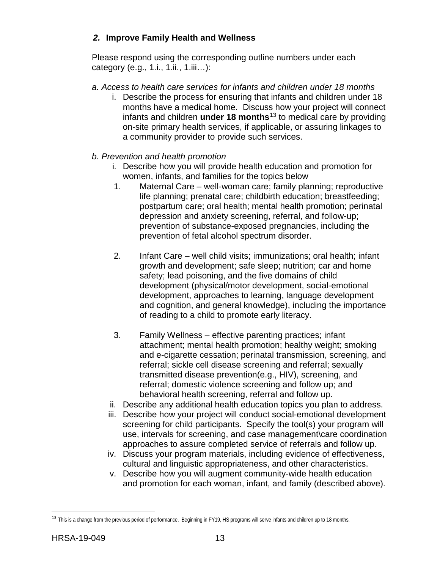# *2.* **Improve Family Health and Wellness**

Please respond using the corresponding outline numbers under each category (e.g., 1.i., 1.ii., 1.iii…):

- *a. Access to health care services for infants and children under 18 months*
	- i. Describe the process for ensuring that infants and children under 18 months have a medical home. Discuss how your project will connect infants and children **under 18 months**[13](#page-16-0) to medical care by providing on-site primary health services, if applicable, or assuring linkages to a community provider to provide such services.
- *b. Prevention and health promotion* 
	- i. Describe how you will provide health education and promotion for women, infants, and families for the topics below
	- 1. Maternal Care well-woman care; family planning; reproductive life planning; prenatal care; childbirth education; breastfeeding; postpartum care; oral health; mental health promotion; perinatal depression and anxiety screening, referral, and follow-up; prevention of substance-exposed pregnancies, including the prevention of fetal alcohol spectrum disorder.
	- 2. Infant Care well child visits; immunizations; oral health; infant growth and development; safe sleep; nutrition; car and home safety; lead poisoning, and the five domains of child development (physical/motor development, social-emotional development, approaches to learning, language development and cognition, and general knowledge), including the importance of reading to a child to promote early literacy.
	- 3. Family Wellness effective parenting practices; infant attachment; mental health promotion; healthy weight; smoking and e-cigarette cessation; perinatal transmission, screening, and referral; sickle cell disease screening and referral; sexually transmitted disease prevention(e.g., HIV), screening, and referral; domestic violence screening and follow up; and behavioral health screening, referral and follow up.
	- ii. Describe any additional health education topics you plan to address.
	- iii. Describe how your project will conduct social-emotional development screening for child participants. Specify the tool(s) your program will use, intervals for screening, and case management\care coordination approaches to assure completed service of referrals and follow up.
	- iv. Discuss your program materials, including evidence of effectiveness, cultural and linguistic appropriateness, and other characteristics.
	- v. Describe how you will augment community-wide health education and promotion for each woman, infant, and family (described above).

<span id="page-16-0"></span><sup>&</sup>lt;sup>13</sup> This is a change from the previous period of performance. Beginning in FY19, HS programs will serve infants and children up to 18 months.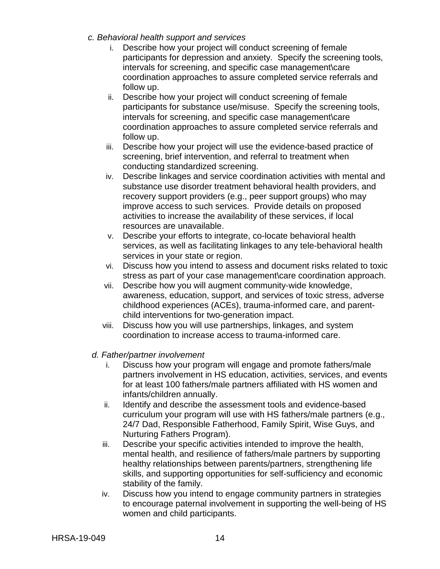- *c. Behavioral health support and services*
	- i. Describe how your project will conduct screening of female participants for depression and anxiety. Specify the screening tools, intervals for screening, and specific case management\care coordination approaches to assure completed service referrals and follow up.
	- ii. Describe how your project will conduct screening of female participants for substance use/misuse. Specify the screening tools, intervals for screening, and specific case management\care coordination approaches to assure completed service referrals and follow up.
	- iii. Describe how your project will use the evidence-based practice of screening, brief intervention, and referral to treatment when conducting standardized screening.
	- iv. Describe linkages and service coordination activities with mental and substance use disorder treatment behavioral health providers, and recovery support providers (e.g., peer support groups) who may improve access to such services. Provide details on proposed activities to increase the availability of these services, if local resources are unavailable.
	- v. Describe your efforts to integrate, co-locate behavioral health services, as well as facilitating linkages to any tele-behavioral health services in your state or region.
	- vi. Discuss how you intend to assess and document risks related to toxic stress as part of your case management\care coordination approach.
	- vii. Describe how you will augment community-wide knowledge, awareness, education, support, and services of toxic stress, adverse childhood experiences (ACEs), trauma-informed care, and parentchild interventions for two-generation impact.
	- viii. Discuss how you will use partnerships, linkages, and system coordination to increase access to trauma-informed care.
- *d. Father/partner involvement* 
	- i. Discuss how your program will engage and promote fathers/male partners involvement in HS education, activities, services, and events for at least 100 fathers/male partners affiliated with HS women and infants/children annually.
	- ii. Identify and describe the assessment tools and evidence-based curriculum your program will use with HS fathers/male partners (e.g., 24/7 Dad, Responsible Fatherhood, Family Spirit, Wise Guys, and Nurturing Fathers Program).
	- iii. Describe your specific activities intended to improve the health, mental health, and resilience of fathers/male partners by supporting healthy relationships between parents/partners, strengthening life skills, and supporting opportunities for self-sufficiency and economic stability of the family.
	- iv. Discuss how you intend to engage community partners in strategies to encourage paternal involvement in supporting the well-being of HS women and child participants.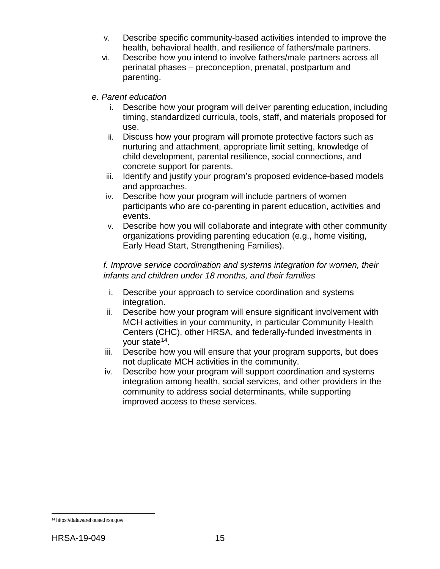- v. Describe specific community-based activities intended to improve the health, behavioral health, and resilience of fathers/male partners.
- vi. Describe how you intend to involve fathers/male partners across all perinatal phases – preconception, prenatal, postpartum and parenting.
- *e. Parent education*
	- i. Describe how your program will deliver parenting education, including timing, standardized curricula, tools, staff, and materials proposed for use.
	- ii. Discuss how your program will promote protective factors such as nurturing and attachment, appropriate limit setting, knowledge of child development, parental resilience, social connections, and concrete support for parents.
	- iii. Identify and justify your program's proposed evidence-based models and approaches.
	- iv. Describe how your program will include partners of women participants who are co-parenting in parent education, activities and events.
	- v. Describe how you will collaborate and integrate with other community organizations providing parenting education (e.g., home visiting, Early Head Start, Strengthening Families).

## *f. Improve service coordination and systems integration for women, their infants and children under 18 months, and their families*

- i. Describe your approach to service coordination and systems integration.
- ii. Describe how your program will ensure significant involvement with MCH activities in your community, in particular Community Health Centers (CHC), other HRSA, and federally-funded investments in your state<sup>[14](#page-18-0)</sup>.
- iii. Describe how you will ensure that your program supports, but does not duplicate MCH activities in the community.
- iv. Describe how your program will support coordination and systems integration among health, social services, and other providers in the community to address social determinants, while supporting improved access to these services.

<span id="page-18-0"></span> $\overline{a}$ <sup>14</sup> https://datawarehouse.hrsa.gov/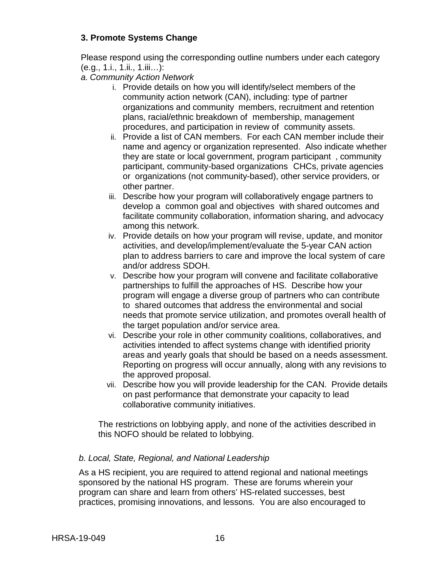# **3. Promote Systems Change**

Please respond using the corresponding outline numbers under each category (e.g., 1.i., 1.ii., 1.iii…):

*a. Community Action Network*

- i. Provide details on how you will identify/select members of the community action network (CAN), including: type of partner organizations and community members, recruitment and retention plans, racial/ethnic breakdown of membership, management procedures, and participation in review of community assets.
- ii. Provide a list of CAN members. For each CAN member include their name and agency or organization represented. Also indicate whether they are state or local government, program participant , community participant, community-based organizations CHCs, private agencies or organizations (not community-based), other service providers, or other partner.
- iii. Describe how your program will collaboratively engage partners to develop a common goal and objectives with shared outcomes and facilitate community collaboration, information sharing, and advocacy among this network.
- iv. Provide details on how your program will revise, update, and monitor activities, and develop/implement/evaluate the 5-year CAN action plan to address barriers to care and improve the local system of care and/or address SDOH.
- v. Describe how your program will convene and facilitate collaborative partnerships to fulfill the approaches of HS. Describe how your program will engage a diverse group of partners who can contribute to shared outcomes that address the environmental and social needs that promote service utilization, and promotes overall health of the target population and/or service area.
- vi. Describe your role in other community coalitions, collaboratives, and activities intended to affect systems change with identified priority areas and yearly goals that should be based on a needs assessment. Reporting on progress will occur annually, along with any revisions to the approved proposal.
- vii. Describe how you will provide leadership for the CAN. Provide details on past performance that demonstrate your capacity to lead collaborative community initiatives.

The restrictions on lobbying apply, and none of the activities described in this NOFO should be related to lobbying.

## *b. Local, State, Regional, and National Leadership*

As a HS recipient, you are required to attend regional and national meetings sponsored by the national HS program. These are forums wherein your program can share and learn from others' HS-related successes, best practices, promising innovations, and lessons. You are also encouraged to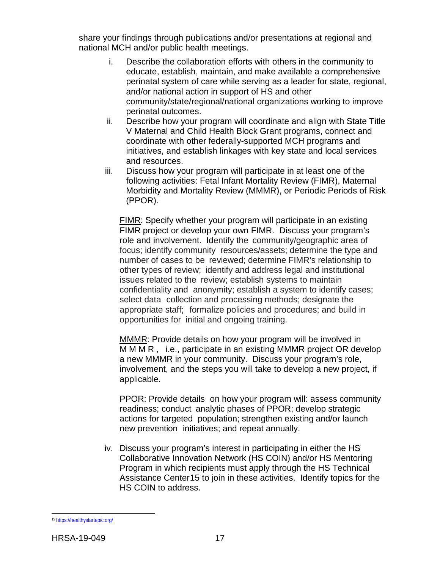share your findings through publications and/or presentations at regional and national MCH and/or public health meetings.

- i. Describe the collaboration efforts with others in the community to educate, establish, maintain, and make available a comprehensive perinatal system of care while serving as a leader for state, regional, and/or national action in support of HS and other community/state/regional/national organizations working to improve perinatal outcomes.
- ii. Describe how your program will coordinate and align with State Title V Maternal and Child Health Block Grant programs, connect and coordinate with other federally-supported MCH programs and initiatives, and establish linkages with key state and local services and resources.
- iii. Discuss how your program will participate in at least one of the following activities: Fetal Infant Mortality Review (FIMR), Maternal Morbidity and Mortality Review (MMMR), or Periodic Periods of Risk (PPOR).

FIMR: Specify whether your program will participate in an existing FIMR project or develop your own FIMR. Discuss your program's role and involvement. Identify the community/geographic area of focus; identify community resources/assets; determine the type and number of cases to be reviewed; determine FIMR's relationship to other types of review; identify and address legal and institutional issues related to the review; establish systems to maintain confidentiality and anonymity; establish a system to identify cases; select data collection and processing methods; designate the appropriate staff; formalize policies and procedures; and build in opportunities for initial and ongoing training.

MMMR: Provide details on how your program will be involved in MMMR, i.e., participate in an existing MMMR project OR develop a new MMMR in your community. Discuss your program's role, involvement, and the steps you will take to develop a new project, if applicable.

PPOR: Provide details on how your program will: assess community readiness; conduct analytic phases of PPOR; develop strategic actions for targeted population; strengthen existing and/or launch new prevention initiatives; and repeat annually.

iv. Discuss your program's interest in participating in either the HS Collaborative Innovation Network (HS COIN) and/or HS Mentoring Program in which recipients must apply through the HS Technical Assistance Cente[r15](#page-20-0) to join in these activities. Identify topics for the HS COIN to address.

<span id="page-20-0"></span> $\overline{a}$ <sup>15</sup> <https://healthystartepic.org/>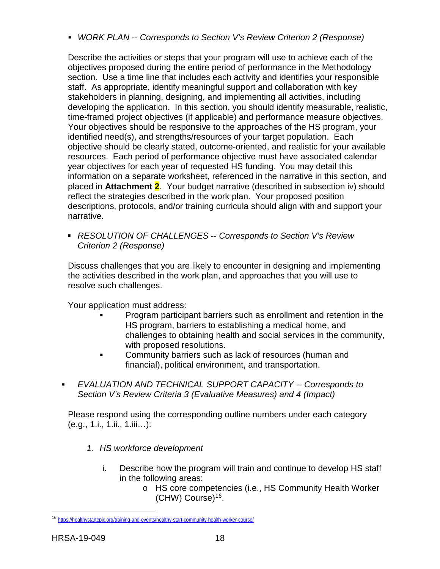*WORK PLAN -- Corresponds to Section V's Review Criterion 2 (Response)*

Describe the activities or steps that your program will use to achieve each of the objectives proposed during the entire period of performance in the Methodology section. Use a time line that includes each activity and identifies your responsible staff. As appropriate, identify meaningful support and collaboration with key stakeholders in planning, designing, and implementing all activities, including developing the application. In this section, you should identify measurable, realistic, time-framed project objectives (if applicable) and performance measure objectives. Your objectives should be responsive to the approaches of the HS program, your identified need(s), and strengths/resources of your target population. Each objective should be clearly stated, outcome-oriented, and realistic for your available resources. Each period of performance objective must have associated calendar year objectives for each year of requested HS funding. You may detail this information on a separate worksheet, referenced in the narrative in this section, and placed in **Attachment 2**. Your budget narrative (described in subsection iv) should reflect the strategies described in the work plan. Your proposed position descriptions, protocols, and/or training curricula should align with and support your narrative.

 *RESOLUTION OF CHALLENGES -- Corresponds to Section V's Review Criterion 2 (Response)*

Discuss challenges that you are likely to encounter in designing and implementing the activities described in the work plan, and approaches that you will use to resolve such challenges.

Your application must address:

- Program participant barriers such as enrollment and retention in the HS program, barriers to establishing a medical home, and challenges to obtaining health and social services in the community, with proposed resolutions.
- **Community barriers such as lack of resources (human and** financial), political environment, and transportation.
- *EVALUATION AND TECHNICAL SUPPORT CAPACITY -- Corresponds to Section V's Review Criteria 3 (Evaluative Measures) and 4 (Impact)*

Please respond using the corresponding outline numbers under each category (e.g., 1.i., 1.ii., 1.iii…):

- *1. HS workforce development*
	- i. Describe how the program will train and continue to develop HS staff in the following areas:
		- o HS core competencies (i.e., HS Community Health Worker (CHW) Course)[16.](#page-21-0)

<span id="page-21-0"></span><sup>16</sup> <https://healthystartepic.org/training-and-events/healthy-start-community-health-worker-course/>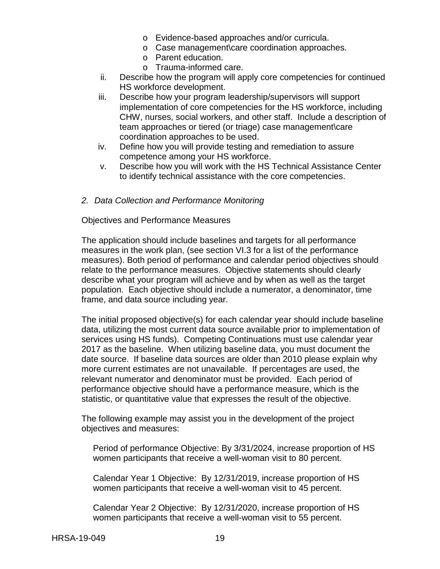- o Evidence-based approaches and/or curricula.
- o Case management\care coordination approaches.
- o Parent education.
- o Trauma-informed care.
- ii. Describe how the program will apply core competencies for continued HS workforce development.
- iii. Describe how your program leadership/supervisors will support implementation of core competencies for the HS workforce, including CHW, nurses, social workers, and other staff. Include a description of team approaches or tiered (or triage) case management\care coordination approaches to be used.
- iv. Define how you will provide testing and remediation to assure competence among your HS workforce.
- v. Describe how you will work with the HS Technical Assistance Center to identify technical assistance with the core competencies.
- *2. Data Collection and Performance Monitoring*

Objectives and Performance Measures

The application should include baselines and targets for all performance measures in the work plan, (see section VI.3 for a list of the performance measures). Both period of performance and calendar period objectives should relate to the performance measures. Objective statements should clearly describe what your program will achieve and by when as well as the target population. Each objective should include a numerator, a denominator, time frame, and data source including year.

The initial proposed objective(s) for each calendar year should include baseline data, utilizing the most current data source available prior to implementation of services using HS funds). Competing Continuations must use calendar year 2017 as the baseline. When utilizing baseline data, you must document the date source. If baseline data sources are older than 2010 please explain why more current estimates are not unavailable. If percentages are used, the relevant numerator and denominator must be provided. Each period of performance objective should have a performance measure, which is the statistic, or quantitative value that expresses the result of the objective.

The following example may assist you in the development of the project objectives and measures:

Period of performance Objective: By 3/31/2024, increase proportion of HS women participants that receive a well-woman visit to 80 percent.

Calendar Year 1 Objective: By 12/31/2019, increase proportion of HS women participants that receive a well-woman visit to 45 percent.

Calendar Year 2 Objective: By 12/31/2020, increase proportion of HS women participants that receive a well-woman visit to 55 percent.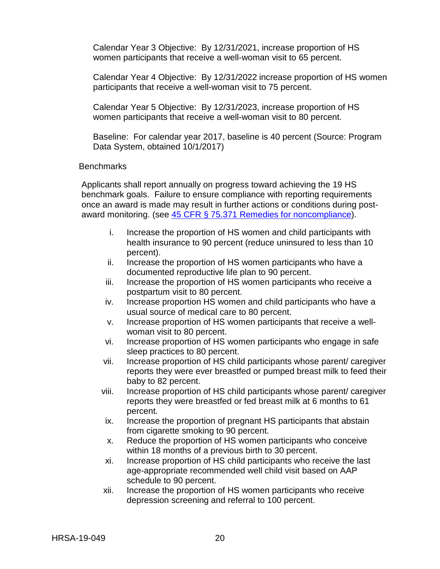Calendar Year 3 Objective: By 12/31/2021, increase proportion of HS women participants that receive a well-woman visit to 65 percent.

Calendar Year 4 Objective: By 12/31/2022 increase proportion of HS women participants that receive a well-woman visit to 75 percent.

Calendar Year 5 Objective: By 12/31/2023, increase proportion of HS women participants that receive a well-woman visit to 80 percent.

Baseline: For calendar year 2017, baseline is 40 percent (Source: Program Data System, obtained 10/1/2017)

#### **Benchmarks**

Applicants shall report annually on progress toward achieving the 19 HS benchmark goals. Failure to ensure compliance with reporting requirements once an award is made may result in further actions or conditions during postaward monitoring. (see [45 CFR § 75.371 Remedies for noncompliance\)](https://www.ecfr.gov/cgi-bin/retrieveECFR?gp=1&SID=4d52364ec83fab994c665943dadf9cf7&ty=HTML&h=L&r=PART&n=pt45.1.75).

- i. Increase the proportion of HS women and child participants with health insurance to 90 percent (reduce uninsured to less than 10 percent).
- ii. Increase the proportion of HS women participants who have a documented reproductive life plan to 90 percent.
- iii. Increase the proportion of HS women participants who receive a postpartum visit to 80 percent.
- iv. Increase proportion HS women and child participants who have a usual source of medical care to 80 percent.
- v. Increase proportion of HS women participants that receive a wellwoman visit to 80 percent.
- vi. Increase proportion of HS women participants who engage in safe sleep practices to 80 percent.
- vii. Increase proportion of HS child participants whose parent/ caregiver reports they were ever breastfed or pumped breast milk to feed their baby to 82 percent.
- viii. Increase proportion of HS child participants whose parent/ caregiver reports they were breastfed or fed breast milk at 6 months to 61 percent.
- ix. Increase the proportion of pregnant HS participants that abstain from cigarette smoking to 90 percent.
- x. Reduce the proportion of HS women participants who conceive within 18 months of a previous birth to 30 percent.
- xi. Increase proportion of HS child participants who receive the last age-appropriate recommended well child visit based on AAP schedule to 90 percent.
- xii. Increase the proportion of HS women participants who receive depression screening and referral to 100 percent.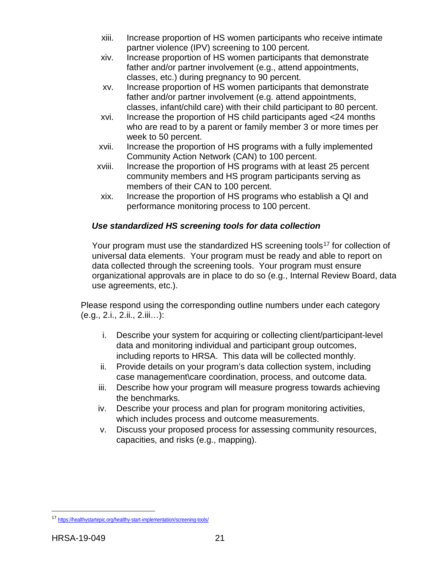- xiii. Increase proportion of HS women participants who receive intimate partner violence (IPV) screening to 100 percent.
- xiv. Increase proportion of HS women participants that demonstrate father and/or partner involvement (e.g., attend appointments, classes, etc.) during pregnancy to 90 percent.
- xv. Increase proportion of HS women participants that demonstrate father and/or partner involvement (e.g. attend appointments, classes, infant/child care) with their child participant to 80 percent.
- xvi. Increase the proportion of HS child participants aged <24 months who are read to by a parent or family member 3 or more times per week to 50 percent.
- xvii. Increase the proportion of HS programs with a fully implemented Community Action Network (CAN) to 100 percent.
- xviii. Increase the proportion of HS programs with at least 25 percent community members and HS program participants serving as members of their CAN to 100 percent.
- xix. Increase the proportion of HS programs who establish a QI and performance monitoring process to 100 percent.

# *Use standardized HS screening tools for data collection*

Your program must use the standardized HS screening tools<sup>[17](#page-24-0)</sup> for collection of universal data elements. Your program must be ready and able to report on data collected through the screening tools. Your program must ensure organizational approvals are in place to do so (e.g., Internal Review Board, data use agreements, etc.).

Please respond using the corresponding outline numbers under each category (e.g., 2.i., 2.ii., 2.iii…):

- i. Describe your system for acquiring or collecting client/participant-level data and monitoring individual and participant group outcomes, including reports to HRSA. This data will be collected monthly.
- ii. Provide details on your program's data collection system, including case management\care coordination, process, and outcome data.
- iii. Describe how your program will measure progress towards achieving the benchmarks.
- iv. Describe your process and plan for program monitoring activities, which includes process and outcome measurements.
- v. Discuss your proposed process for assessing community resources, capacities, and risks (e.g., mapping).

<span id="page-24-0"></span><sup>17</sup> <https://healthystartepic.org/healthy-start-implementation/screening-tools/>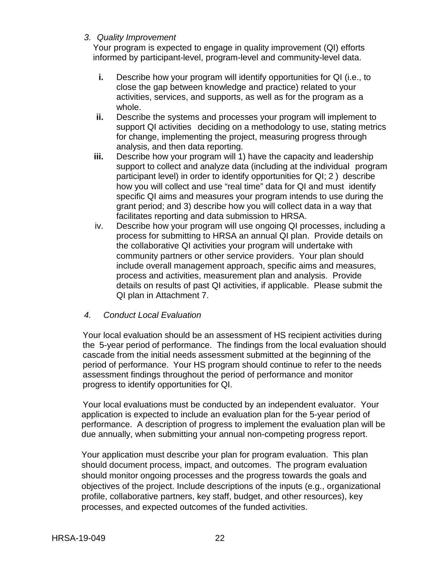#### *3. Quality Improvement*

Your program is expected to engage in quality improvement (QI) efforts informed by participant-level, program-level and community-level data.

- **i.** Describe how your program will identify opportunities for QI (i.e., to close the gap between knowledge and practice) related to your activities, services, and supports, as well as for the program as a whole.
- **ii.** Describe the systems and processes your program will implement to support QI activities deciding on a methodology to use, stating metrics for change, implementing the project, measuring progress through analysis, and then data reporting.
- **iii.** Describe how your program will 1) have the capacity and leadership support to collect and analyze data (including at the individual program participant level) in order to identify opportunities for QI;2) describe how you will collect and use "real time" data for QI and must identify specific QI aims and measures your program intends to use during the grant period; and 3) describe how you will collect data in a way that facilitates reporting and data submission to HRSA.
- iv. Describe how your program will use ongoing QI processes, including a process for submitting to HRSA an annual QI plan. Provide details on the collaborative QI activities your program will undertake with community partners or other service providers. Your plan should include overall management approach, specific aims and measures, process and activities, measurement plan and analysis. Provide details on results of past QI activities, if applicable. Please submit the QI plan in Attachment 7.
- *4. Conduct Local Evaluation*

Your local evaluation should be an assessment of HS recipient activities during the 5-year period of performance. The findings from the local evaluation should cascade from the initial needs assessment submitted at the beginning of the period of performance. Your HS program should continue to refer to the needs assessment findings throughout the period of performance and monitor progress to identify opportunities for QI.

Your local evaluations must be conducted by an independent evaluator. Your application is expected to include an evaluation plan for the 5-year period of performance. A description of progress to implement the evaluation plan will be due annually, when submitting your annual non-competing progress report.

Your application must describe your plan for program evaluation. This plan should document process, impact, and outcomes. The program evaluation should monitor ongoing processes and the progress towards the goals and objectives of the project. Include descriptions of the inputs (e.g., organizational profile, collaborative partners, key staff, budget, and other resources), key processes, and expected outcomes of the funded activities.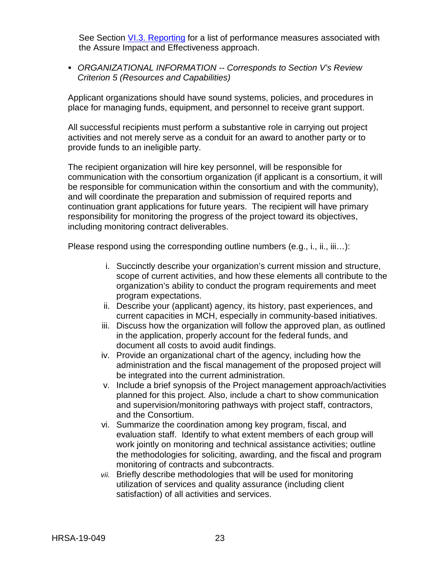See Section [VI.3. Reporting](#page-40-0) for a list of performance measures associated with the Assure Impact and Effectiveness approach.

 *ORGANIZATIONAL INFORMATION -- Corresponds to Section V's Review Criterion 5 (Resources and Capabilities)*

Applicant organizations should have sound systems, policies, and procedures in place for managing funds, equipment, and personnel to receive grant support.

All successful recipients must perform a substantive role in carrying out project activities and not merely serve as a conduit for an award to another party or to provide funds to an ineligible party.

The recipient organization will hire key personnel, will be responsible for communication with the consortium organization (if applicant is a consortium, it will be responsible for communication within the consortium and with the community), and will coordinate the preparation and submission of required reports and continuation grant applications for future years. The recipient will have primary responsibility for monitoring the progress of the project toward its objectives, including monitoring contract deliverables.

Please respond using the corresponding outline numbers (e.g., i., ii., iii…):

- i. Succinctly describe your organization's current mission and structure, scope of current activities, and how these elements all contribute to the organization's ability to conduct the program requirements and meet program expectations.
- ii. Describe your (applicant) agency, its history, past experiences, and current capacities in MCH, especially in community-based initiatives.
- iii. Discuss how the organization will follow the approved plan, as outlined in the application, properly account for the federal funds, and document all costs to avoid audit findings.
- iv. Provide an organizational chart of the agency, including how the administration and the fiscal management of the proposed project will be integrated into the current administration.
- v. Include a brief synopsis of the Project management approach/activities planned for this project. Also, include a chart to show communication and supervision/monitoring pathways with project staff, contractors, and the Consortium.
- vi. Summarize the coordination among key program, fiscal, and evaluation staff. Identify to what extent members of each group will work jointly on monitoring and technical assistance activities; outline the methodologies for soliciting, awarding, and the fiscal and program monitoring of contracts and subcontracts.
- *vii.* Briefly describe methodologies that will be used for monitoring utilization of services and quality assurance (including client satisfaction) of all activities and services.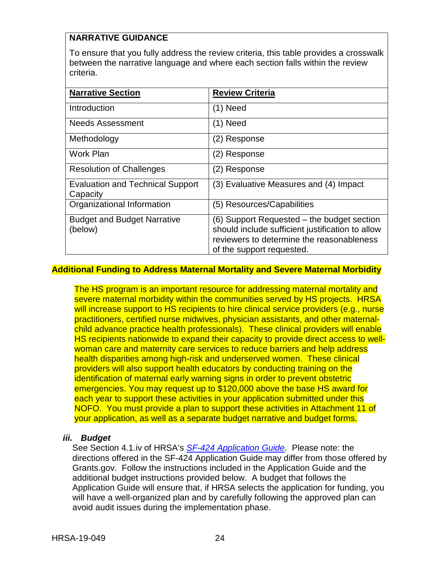## **NARRATIVE GUIDANCE**

To ensure that you fully address the review criteria, this table provides a crosswalk between the narrative language and where each section falls within the review criteria.

| <b>Narrative Section</b>                            | <b>Review Criteria</b>                                                                                                                                                   |
|-----------------------------------------------------|--------------------------------------------------------------------------------------------------------------------------------------------------------------------------|
| Introduction                                        | $(1)$ Need                                                                                                                                                               |
| <b>Needs Assessment</b>                             | $(1)$ Need                                                                                                                                                               |
| Methodology                                         | (2) Response                                                                                                                                                             |
| Work Plan                                           | (2) Response                                                                                                                                                             |
| <b>Resolution of Challenges</b>                     | (2) Response                                                                                                                                                             |
| <b>Evaluation and Technical Support</b><br>Capacity | (3) Evaluative Measures and (4) Impact                                                                                                                                   |
| Organizational Information                          | (5) Resources/Capabilities                                                                                                                                               |
| <b>Budget and Budget Narrative</b><br>(below)       | (6) Support Requested – the budget section<br>should include sufficient justification to allow<br>reviewers to determine the reasonableness<br>of the support requested. |

#### **Additional Funding to Address Maternal Mortality and Severe Maternal Morbidity**

The HS program is an important resource for addressing maternal mortality and severe maternal morbidity within the communities served by HS projects. HRSA will increase support to HS recipients to hire clinical service providers (e.g., nurse practitioners, certified nurse midwives, physician assistants, and other maternalchild advance practice health professionals). These clinical providers will enable HS recipients nationwide to expand their capacity to provide direct access to wellwoman care and maternity care services to reduce barriers and help address health disparities among high-risk and underserved women. These clinical providers will also support health educators by conducting training on the identification of maternal early warning signs in order to prevent obstetric emergencies. You may request up to \$120,000 above the base HS award for each year to support these activities in your application submitted under this NOFO. You must provide a plan to support these activities in Attachment 11 of your application, as well as a separate budget narrative and budget forms.

#### <span id="page-27-0"></span>*iii. Budget*

See Section 4.1.iv of HRSA's *SF-424 [Application Guide.](http://www.hrsa.gov/grants/apply/applicationguide/sf424guide.pdf)* Please note: the directions offered in the SF-424 Application Guide may differ from those offered by Grants.gov. Follow the instructions included in the Application Guide and the additional budget instructions provided below. A budget that follows the Application Guide will ensure that, if HRSA selects the application for funding, you will have a well-organized plan and by carefully following the approved plan can avoid audit issues during the implementation phase.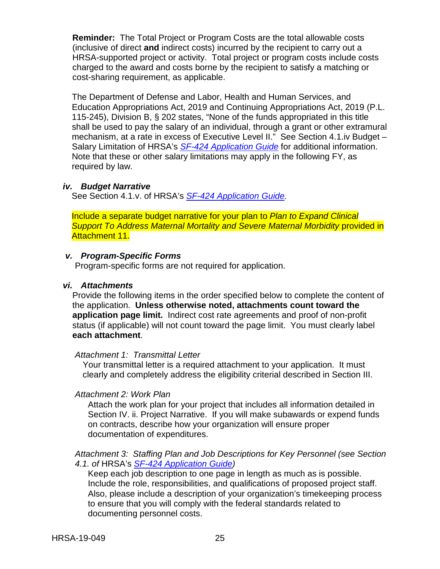**Reminder:** The Total Project or Program Costs are the total allowable costs (inclusive of direct **and** indirect costs) incurred by the recipient to carry out a HRSA-supported project or activity. Total project or program costs include costs charged to the award and costs borne by the recipient to satisfy a matching or cost-sharing requirement, as applicable.

The Department of Defense and Labor, Health and Human Services, and Education Appropriations Act, 2019 and Continuing Appropriations Act, 2019 (P.L. 115-245), Division B, § 202 states, "None of the funds appropriated in this title shall be used to pay the salary of an individual, through a grant or other extramural mechanism, at a rate in excess of Executive Level II." See Section 4.1.iv Budget – Salary Limitation of HRSA's *SF-424 [Application Guide](http://www.hrsa.gov/grants/apply/applicationguide/sf424guide.pdf)* for additional information. Note that these or other salary limitations may apply in the following FY, as required by law.

#### <span id="page-28-0"></span>*iv. Budget Narrative*

See Section 4.1.v. of HRSA's *SF-424 [Application Guide.](http://www.hrsa.gov/grants/apply/applicationguide/sf424guide.pdf)*

Include a separate budget narrative for your plan to *Plan to Expand Clinical Support To Address Maternal Mortality and Severe Maternal Morbidity* provided in Attachment 11.

#### <span id="page-28-1"></span>*v. Program-Specific Forms*

Program-specific forms are not required for application.

#### <span id="page-28-2"></span>*vi. Attachments*

Provide the following items in the order specified below to complete the content of the application. **Unless otherwise noted, attachments count toward the application page limit.** Indirect cost rate agreements and proof of non-profit status (if applicable) will not count toward the page limit. You must clearly label **each attachment**.

#### *Attachment 1: Transmittal Letter*

Your transmittal letter is a required attachment to your application. It must clearly and completely address the eligibility criterial described in Section III.

#### *Attachment 2: Work Plan*

Attach the work plan for your project that includes all information detailed in Section IV. ii. Project Narrative. If you will make subawards or expend funds on contracts, describe how your organization will ensure proper documentation of expenditures.

#### *Attachment 3: Staffing Plan and Job Descriptions for Key Personnel (see Section 4.1. of* HRSA's *SF-424 [Application Guide\)](http://www.hrsa.gov/grants/apply/applicationguide/sf424guide.pdf)*

Keep each job description to one page in length as much as is possible. Include the role, responsibilities, and qualifications of proposed project staff. Also, please include a description of your organization's timekeeping process to ensure that you will comply with the federal standards related to documenting personnel costs.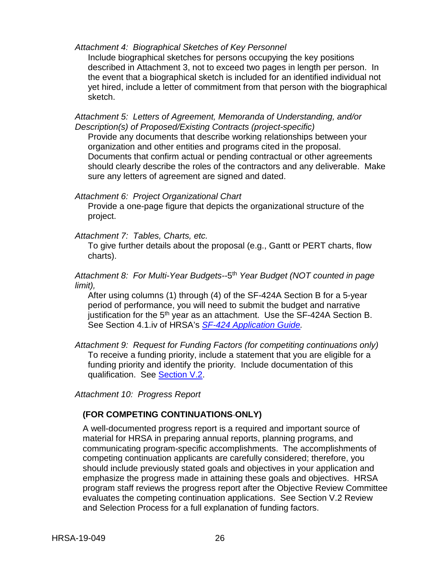#### *Attachment 4: Biographical Sketches of Key Personnel*

Include biographical sketches for persons occupying the key positions described in Attachment 3, not to exceed two pages in length per person. In the event that a biographical sketch is included for an identified individual not yet hired, include a letter of commitment from that person with the biographical sketch.

*Attachment 5: Letters of Agreement, Memoranda of Understanding, and/or Description(s) of Proposed/Existing Contracts (project-specific)*

Provide any documents that describe working relationships between your organization and other entities and programs cited in the proposal. Documents that confirm actual or pending contractual or other agreements should clearly describe the roles of the contractors and any deliverable. Make sure any letters of agreement are signed and dated.

#### *Attachment 6: Project Organizational Chart*

Provide a one-page figure that depicts the organizational structure of the project.

*Attachment 7: Tables, Charts, etc.*

To give further details about the proposal (e.g., Gantt or PERT charts, flow charts).

*Attachment 8: For Multi-Year Budgets--*5th *Year Budget (NOT counted in page limit),* 

After using columns (1) through (4) of the SF-424A Section B for a 5-year period of performance, you will need to submit the budget and narrative justification for the  $5<sup>th</sup>$  year as an attachment. Use the SF-424A Section B. See Section 4.1.iv of HRSA's *SF-424 [Application Guide.](http://www.hrsa.gov/grants/apply/applicationguide/sf424guide.pdf)*

*Attachment 9: Request for Funding Factors (for competiting continuations only)* To receive a funding priority, include a statement that you are eligible for a funding priority and identify the priority. Include documentation of this qualification. See **Section V.2.** 

*Attachment 10: Progress Report*

#### **(FOR COMPETING CONTINUATIONS ONLY)**

A well-documented progress report is a required and important source of material for HRSA in preparing annual reports, planning programs, and communicating program-specific accomplishments. The accomplishments of competing continuation applicants are carefully considered; therefore, you should include previously stated goals and objectives in your application and emphasize the progress made in attaining these goals and objectives. HRSA program staff reviews the progress report after the Objective Review Committee evaluates the competing continuation applications.See Section V.2 Review and Selection Process for a full explanation of funding factors.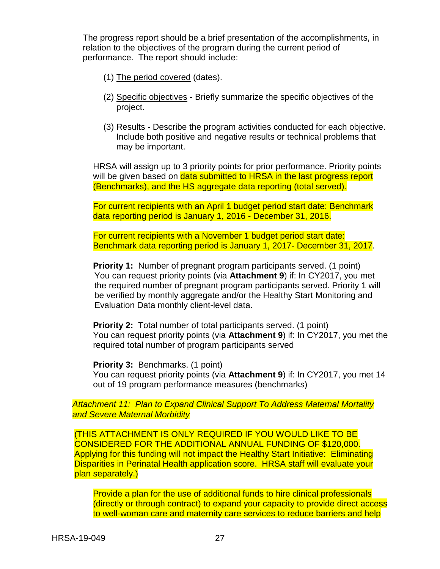The progress report should be a brief presentation of the accomplishments, in relation to the objectives of the program during the current period of performance. The report should include:

- (1) The period covered (dates).
- (2) Specific objectives Briefly summarize the specific objectives of the project.
- (3) Results Describe the program activities conducted for each objective. Include both positive and negative results or technical problems that may be important.

HRSA will assign up to 3 priority points for prior performance. Priority points will be given based on data submitted to HRSA in the last progress report (Benchmarks), and the HS aggregate data reporting (total served).

For current recipients with an April 1 budget period start date: Benchmark data reporting period is January 1, 2016 - December 31, 2016.

For current recipients with a November 1 budget period start date: Benchmark data reporting period is January 1, 2017- December 31, 2017.

**Priority 1:** Number of pregnant program participants served. (1 point) You can request priority points (via **Attachment 9**) if: In CY2017, you met the required number of pregnant program participants served. Priority 1 will be verified by monthly aggregate and/or the Healthy Start Monitoring and Evaluation Data monthly client-level data.

**Priority 2:** Total number of total participants served. (1 point) You can request priority points (via **Attachment 9**) if: In CY2017, you met the required total number of program participants served

**Priority 3: Benchmarks. (1 point)** You can request priority points (via **Attachment 9**) if: In CY2017, you met 14 out of 19 program performance measures (benchmarks)

*Attachment 11: Plan to Expand Clinical Support To Address Maternal Mortality and Severe Maternal Morbidity* 

(THIS ATTACHMENT IS ONLY REQUIRED IF YOU WOULD LIKE TO BE CONSIDERED FOR THE ADDITIONAL ANNUAL FUNDING OF \$120,000. Applying for this funding will not impact the Healthy Start Initiative: Eliminating Disparities in Perinatal Health application score. HRSA staff will evaluate your plan separately.)

Provide a plan for the use of additional funds to hire clinical professionals (directly or through contract) to expand your capacity to provide direct access to well-woman care and maternity care services to reduce barriers and help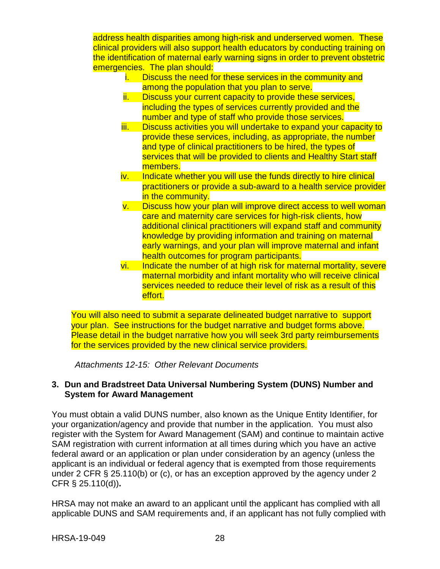address health disparities among high-risk and underserved women. These clinical providers will also support health educators by conducting training on the identification of maternal early warning signs in order to prevent obstetric emergencies. The plan should:

- i. Discuss the need for these services in the community and among the population that you plan to serve.
- ii. Discuss your current capacity to provide these services, including the types of services currently provided and the number and type of staff who provide those services.
- iii. Discuss activities you will undertake to expand your capacity to provide these services, including, as appropriate, the number and type of clinical practitioners to be hired, the types of services that will be provided to clients and Healthy Start staff members.
- iv. Indicate whether you will use the funds directly to hire clinical practitioners or provide a sub-award to a health service provider in the community.
- v. Discuss how your plan will improve direct access to well woman care and maternity care services for high-risk clients, how additional clinical practitioners will expand staff and community knowledge by providing information and training on maternal early warnings, and your plan will improve maternal and infant health outcomes for program participants.
- vi. Indicate the number of at high risk for maternal mortality, severe maternal morbidity and infant mortality who will receive clinical services needed to reduce their level of risk as a result of this effort.

You will also need to submit a separate delineated budget narrative to support your plan. See instructions for the budget narrative and budget forms above. Please detail in the budget narrative how you will seek 3rd party reimbursements for the services provided by the new clinical service providers.

*Attachments 12-15: Other Relevant Documents*

#### <span id="page-31-0"></span>**3. Dun and Bradstreet Data Universal Numbering System (DUNS) Number and System for Award Management**

You must obtain a valid DUNS number, also known as the Unique Entity Identifier, for your organization/agency and provide that number in the application. You must also register with the System for Award Management (SAM) and continue to maintain active SAM registration with current information at all times during which you have an active federal award or an application or plan under consideration by an agency (unless the applicant is an individual or federal agency that is exempted from those requirements under 2 CFR § 25.110(b) or (c), or has an exception approved by the agency under 2 CFR § 25.110(d))**.**

HRSA may not make an award to an applicant until the applicant has complied with all applicable DUNS and SAM requirements and, if an applicant has not fully complied with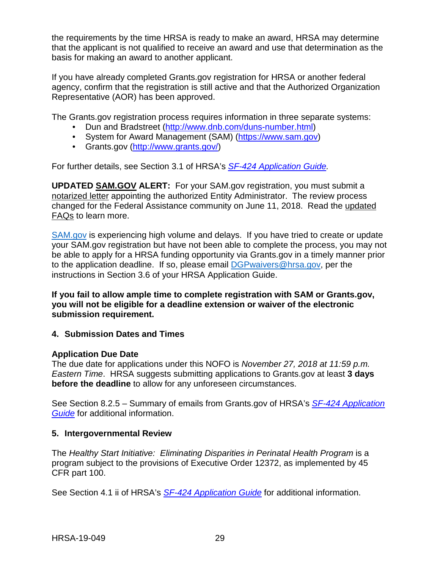the requirements by the time HRSA is ready to make an award, HRSA may determine that the applicant is not qualified to receive an award and use that determination as the basis for making an award to another applicant.

If you have already completed Grants.gov registration for HRSA or another federal agency, confirm that the registration is still active and that the Authorized Organization Representative (AOR) has been approved.

The Grants.gov registration process requires information in three separate systems:

- Dun and Bradstreet [\(http://www.dnb.com/duns-number.html\)](http://www.dnb.com/duns-number.html)
- System for Award Management (SAM) [\(https://www.sam.gov\)](https://www.sam.gov/)
- Grants.gov [\(http://www.grants.gov/\)](http://www.grants.gov/)

For further details, see Section 3.1 of HRSA's *SF-424 [Application Guide.](http://www.hrsa.gov/grants/apply/applicationguide/sf424guide.pdf)*

**UPDATED [SAM.GOV](http://sam.gov/) ALERT:** For your SAM.gov registration, you must submit a [notarized letter](https://www.fsd.gov/fsd-gov/answer.do?sysparm_kbid=d2e67885db0d5f00b3257d321f96194b&sysparm_search=kb0013183) appointing the authorized Entity Administrator. The review process changed for the Federal Assistance community on June 11, 2018. Read the [updated](https://www.gsa.gov/about-us/organization/federal-acquisition-service/office-of-systems-management/integrated-award-environment-iae/sam-update)  [FAQs](https://www.gsa.gov/about-us/organization/federal-acquisition-service/office-of-systems-management/integrated-award-environment-iae/sam-update) to learn more.

[SAM.gov](https://sam.gov/portal/SAM/) is experiencing high volume and delays. If you have tried to create or update your SAM.gov registration but have not been able to complete the process, you may not be able to apply for a HRSA funding opportunity via Grants.gov in a timely manner prior to the application deadline. If so, please email [DGPwaivers@hrsa.gov,](mailto:DGPwaivers@hrsa.gov) per the instructions in Section 3.6 of your HRSA Application Guide.

**If you fail to allow ample time to complete registration with SAM or Grants.gov, you will not be eligible for a deadline extension or waiver of the electronic submission requirement.**

#### <span id="page-32-0"></span>**4. Submission Dates and Times**

#### **Application Due Date**

The due date for applications under this NOFO is *November 27, 2018 at 11:59 p.m. Eastern Time*. HRSA suggests submitting applications to Grants.gov at least **3 days before the deadline** to allow for any unforeseen circumstances.

See Section 8.2.5 – Summary of emails from Grants.gov of HRSA's *[SF-424 Application](http://www.hrsa.gov/grants/apply/applicationguide/sf424guide.pdf)  [Guide](http://www.hrsa.gov/grants/apply/applicationguide/sf424guide.pdf)* for additional information.

#### <span id="page-32-1"></span>**5. Intergovernmental Review**

The *Healthy Start Initiative: Eliminating Disparities in Perinatal Health Program* is a program subject to the provisions of Executive Order 12372, as implemented by 45 CFR part 100.

See Section 4.1 ii of HRSA's *SF-424 [Application Guide](http://www.hrsa.gov/grants/apply/applicationguide/sf424guide.pdf)* for additional information.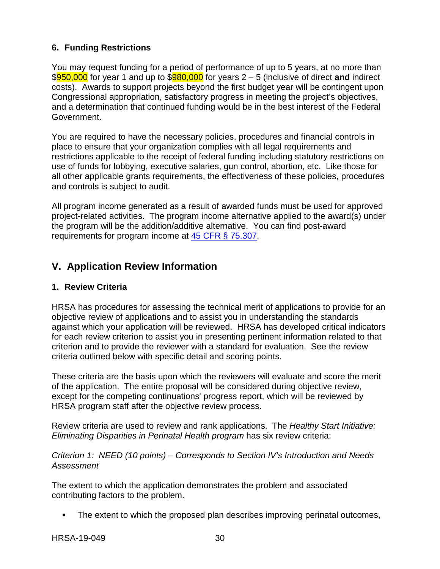## <span id="page-33-0"></span>**6. Funding Restrictions**

You may request funding for a period of performance of up to 5 years, at no more than \$950,000 for year 1 and up to \$980,000 for years 2 – 5 (inclusive of direct **and** indirect costs). Awards to support projects beyond the first budget year will be contingent upon Congressional appropriation, satisfactory progress in meeting the project's objectives, and a determination that continued funding would be in the best interest of the Federal Government.

You are required to have the necessary policies, procedures and financial controls in place to ensure that your organization complies with all legal requirements and restrictions applicable to the receipt of federal funding including statutory restrictions on use of funds for lobbying, executive salaries, gun control, abortion, etc. Like those for all other applicable grants requirements, the effectiveness of these policies, procedures and controls is subject to audit.

All program income generated as a result of awarded funds must be used for approved project-related activities. The program income alternative applied to the award(s) under the program will be the addition/additive alternative. You can find post-award requirements for program income at [45 CFR § 75.307.](https://www.ecfr.gov/cgi-bin/retrieveECFR?gp=1&SID=4d52364ec83fab994c665943dadf9cf7&ty=HTML&h=L&r=PART&n=pt45.1.75)

# <span id="page-33-1"></span>**V. Application Review Information**

## <span id="page-33-2"></span>**1. Review Criteria**

HRSA has procedures for assessing the technical merit of applications to provide for an objective review of applications and to assist you in understanding the standards against which your application will be reviewed. HRSA has developed critical indicators for each review criterion to assist you in presenting pertinent information related to that criterion and to provide the reviewer with a standard for evaluation. See the review criteria outlined below with specific detail and scoring points.

These criteria are the basis upon which the reviewers will evaluate and score the merit of the application. The entire proposal will be considered during objective review, except for the competing continuations' progress report, which will be reviewed by HRSA program staff after the objective review process.

Review criteria are used to review and rank applications. The *Healthy Start Initiative: Eliminating Disparities in Perinatal Health program* has six review criteria:

*Criterion 1: NEED (10 points) – Corresponds to Section IV's Introduction and Needs Assessment*

The extent to which the application demonstrates the problem and associated contributing factors to the problem.

The extent to which the proposed plan describes improving perinatal outcomes,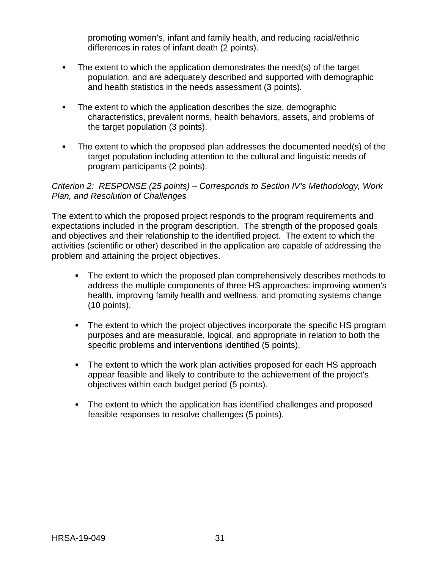promoting women's, infant and family health, and reducing racial/ethnic differences in rates of infant death (2 points).

- The extent to which the application demonstrates the need(s) of the target population, and are adequately described and supported with demographic and health statistics in the needs assessment (3 points)*.*
- The extent to which the application describes the size, demographic characteristics, prevalent norms, health behaviors, assets, and problems of the target population (3 points).
- The extent to which the proposed plan addresses the documented need(s) of the target population including attention to the cultural and linguistic needs of program participants (2 points).

#### *Criterion 2: RESPONSE (25 points) – Corresponds to Section IV's Methodology, Work Plan, and Resolution of Challenges*

The extent to which the proposed project responds to the program requirements and expectations included in the program description. The strength of the proposed goals and objectives and their relationship to the identified project. The extent to which the activities (scientific or other) described in the application are capable of addressing the problem and attaining the project objectives.

- The extent to which the proposed plan comprehensively describes methods to address the multiple components of three HS approaches: improving women's health, improving family health and wellness, and promoting systems change (10 points).
- The extent to which the project objectives incorporate the specific HS program purposes and are measurable, logical, and appropriate in relation to both the specific problems and interventions identified (5 points).
- The extent to which the work plan activities proposed for each HS approach appear feasible and likely to contribute to the achievement of the project's objectives within each budget period (5 points).
- The extent to which the application has identified challenges and proposed feasible responses to resolve challenges (5 points).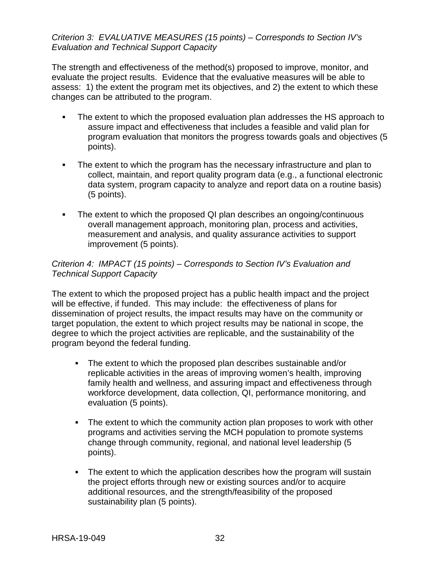#### *Criterion 3: EVALUATIVE MEASURES (15 points) – Corresponds to Section IV's Evaluation and Technical Support Capacity*

The strength and effectiveness of the method(s) proposed to improve, monitor, and evaluate the project results. Evidence that the evaluative measures will be able to assess: 1) the extent the program met its objectives, and 2) the extent to which these changes can be attributed to the program.

- The extent to which the proposed evaluation plan addresses the HS approach to assure impact and effectiveness that includes a feasible and valid plan for program evaluation that monitors the progress towards goals and objectives (5 points).
- The extent to which the program has the necessary infrastructure and plan to collect, maintain, and report quality program data (e.g., a functional electronic data system, program capacity to analyze and report data on a routine basis) (5 points).
- The extent to which the proposed QI plan describes an ongoing/continuous overall management approach, monitoring plan, process and activities, measurement and analysis, and quality assurance activities to support improvement (5 points).

### *Criterion 4: IMPACT (15 points) – Corresponds to Section IV's Evaluation and Technical Support Capacity*

The extent to which the proposed project has a public health impact and the project will be effective, if funded. This may include: the effectiveness of plans for dissemination of project results, the impact results may have on the community or target population, the extent to which project results may be national in scope, the degree to which the project activities are replicable, and the sustainability of the program beyond the federal funding.

- The extent to which the proposed plan describes sustainable and/or replicable activities in the areas of improving women's health, improving family health and wellness, and assuring impact and effectiveness through workforce development, data collection, QI, performance monitoring, and evaluation (5 points).
- The extent to which the community action plan proposes to work with other programs and activities serving the MCH population to promote systems change through community, regional, and national level leadership (5 points).
- The extent to which the application describes how the program will sustain the project efforts through new or existing sources and/or to acquire additional resources, and the strength/feasibility of the proposed sustainability plan (5 points).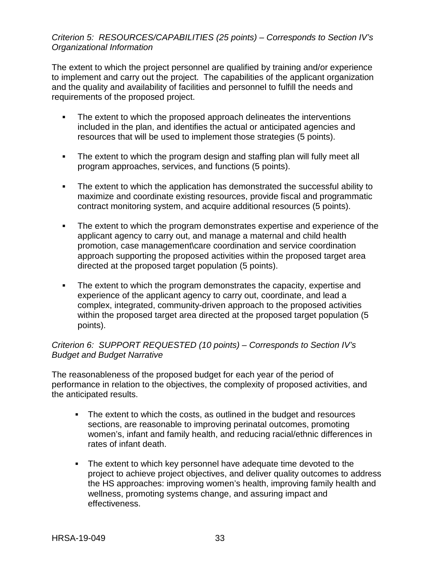#### *Criterion 5: RESOURCES/CAPABILITIES (25 points) – Corresponds to Section IV's Organizational Information*

The extent to which the project personnel are qualified by training and/or experience to implement and carry out the project. The capabilities of the applicant organization and the quality and availability of facilities and personnel to fulfill the needs and requirements of the proposed project.

- The extent to which the proposed approach delineates the interventions included in the plan, and identifies the actual or anticipated agencies and resources that will be used to implement those strategies (5 points).
- The extent to which the program design and staffing plan will fully meet all program approaches, services, and functions (5 points).
- The extent to which the application has demonstrated the successful ability to maximize and coordinate existing resources, provide fiscal and programmatic contract monitoring system, and acquire additional resources (5 points).
- The extent to which the program demonstrates expertise and experience of the applicant agency to carry out, and manage a maternal and child health promotion, case management\care coordination and service coordination approach supporting the proposed activities within the proposed target area directed at the proposed target population (5 points).
- The extent to which the program demonstrates the capacity, expertise and experience of the applicant agency to carry out, coordinate, and lead a complex, integrated, community-driven approach to the proposed activities within the proposed target area directed at the proposed target population (5 points).

#### *Criterion 6: SUPPORT REQUESTED (10 points) – Corresponds to Section IV's Budget and Budget Narrative*

The reasonableness of the proposed budget for each year of the period of performance in relation to the objectives, the complexity of proposed activities, and the anticipated results.

- The extent to which the costs, as outlined in the budget and resources sections, are reasonable to improving perinatal outcomes, promoting women's, infant and family health, and reducing racial/ethnic differences in rates of infant death.
- The extent to which key personnel have adequate time devoted to the project to achieve project objectives, and deliver quality outcomes to address the HS approaches: improving women's health, improving family health and wellness, promoting systems change, and assuring impact and effectiveness.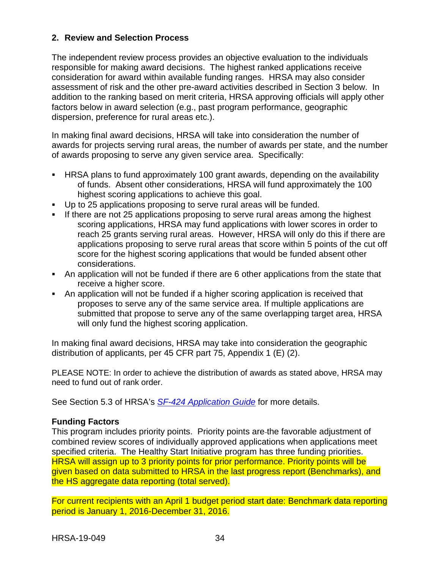### <span id="page-37-1"></span><span id="page-37-0"></span>**2. Review and Selection Process**

The independent review process provides an objective evaluation to the individuals responsible for making award decisions. The highest ranked applications receive consideration for award within available funding ranges. HRSA may also consider assessment of risk and the other pre-award activities described in Section 3 below. In addition to the ranking based on merit criteria, HRSA approving officials will apply other factors below in award selection (e.g., past program performance, geographic dispersion, preference for rural areas etc.).

In making final award decisions, HRSA will take into consideration the number of awards for projects serving rural areas, the number of awards per state, and the number of awards proposing to serve any given service area. Specifically:

- HRSA plans to fund approximately 100 grant awards, depending on the availability of funds. Absent other considerations, HRSA will fund approximately the 100 highest scoring applications to achieve this goal.
- Up to 25 applications proposing to serve rural areas will be funded.
- If there are not 25 applications proposing to serve rural areas among the highest scoring applications, HRSA may fund applications with lower scores in order to reach 25 grants serving rural areas. However, HRSA will only do this if there are applications proposing to serve rural areas that score within 5 points of the cut off score for the highest scoring applications that would be funded absent other considerations.
- An application will not be funded if there are 6 other applications from the state that receive a higher score.
- An application will not be funded if a higher scoring application is received that proposes to serve any of the same service area. If multiple applications are submitted that propose to serve any of the same overlapping target area, HRSA will only fund the highest scoring application.

In making final award decisions, HRSA may take into consideration the geographic distribution of applicants, per 45 CFR part 75, Appendix 1 (E) (2).

PLEASE NOTE: In order to achieve the distribution of awards as stated above, HRSA may need to fund out of rank order.

See Section 5.3 of HRSA's *SF-424 [Application Guide](http://www.hrsa.gov/grants/apply/applicationguide/sf424guide.pdf)* for more details.

#### **Funding Factors**

This program includes priority points. Priority points are the favorable adjustment of combined review scores of individually approved applications when applications meet specified criteria. The Healthy Start Initiative program has three funding priorities. HRSA will assign up to 3 priority points for prior performance. Priority points will be given based on data submitted to HRSA in the last progress report (Benchmarks), and the HS aggregate data reporting (total served).

For current recipients with an April 1 budget period start date: Benchmark data reporting period is January 1, 2016-December 31, 2016.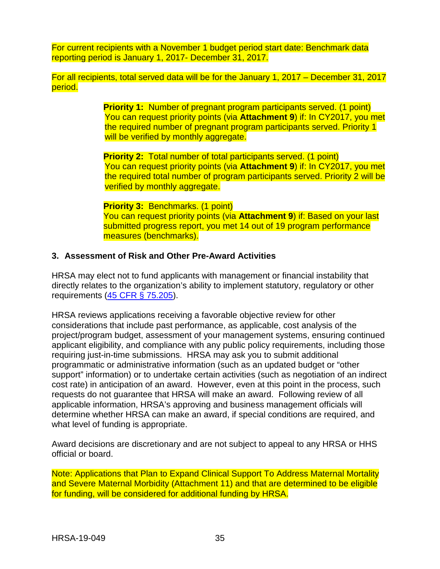For current recipients with a November 1 budget period start date: Benchmark data reporting period is January 1, 2017- December 31, 2017.

For all recipients, total served data will be for the January 1, 2017 – December 31, 2017 period.

> **Priority 1:** Number of pregnant program participants served. (1 point) You can request priority points (via **Attachment 9**) if: In CY2017, you met the required number of pregnant program participants served. Priority 1 will be verified by monthly aggregate.

> **Priority 2:** Total number of total participants served. (1 point) You can request priority points (via **Attachment 9**) if: In CY2017, you met the required total number of program participants served. Priority 2 will be verified by monthly aggregate.

**Priority 3:** Benchmarks. (1 point) You can request priority points (via **Attachment 9**) if: Based on your last submitted progress report, you met 14 out of 19 program performance measures (benchmarks).

#### <span id="page-38-0"></span>**3. Assessment of Risk and Other Pre-Award Activities**

HRSA may elect not to fund applicants with management or financial instability that directly relates to the organization's ability to implement statutory, regulatory or other requirements [\(45 CFR § 75.205\)](https://www.ecfr.gov/cgi-bin/retrieveECFR?gp=1&SID=4d52364ec83fab994c665943dadf9cf7&ty=HTML&h=L&r=PART&n=pt45.1.75).

HRSA reviews applications receiving a favorable objective review for other considerations that include past performance, as applicable, cost analysis of the project/program budget, assessment of your management systems, ensuring continued applicant eligibility, and compliance with any public policy requirements, including those requiring just-in-time submissions. HRSA may ask you to submit additional programmatic or administrative information (such as an updated budget or "other support" information) or to undertake certain activities (such as negotiation of an indirect cost rate) in anticipation of an award. However, even at this point in the process, such requests do not guarantee that HRSA will make an award. Following review of all applicable information, HRSA's approving and business management officials will determine whether HRSA can make an award, if special conditions are required, and what level of funding is appropriate.

Award decisions are discretionary and are not subject to appeal to any HRSA or HHS official or board.

Note: Applications that Plan to Expand Clinical Support To Address Maternal Mortality and Severe Maternal Morbidity (Attachment 11) and that are determined to be eligible for funding, will be considered for additional funding by HRSA.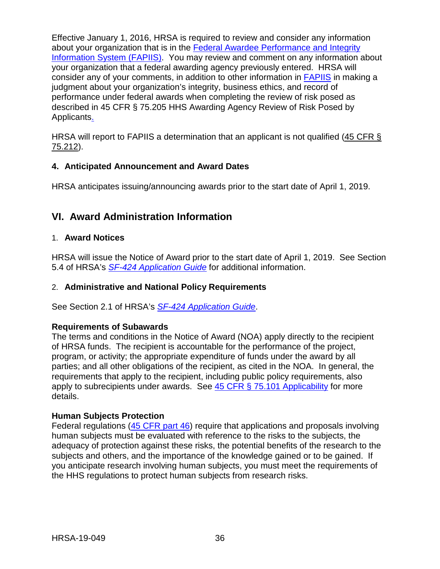Effective January 1, 2016, HRSA is required to review and consider any information about your organization that is in the [Federal Awardee Performance and Integrity](https://www.fapiis.gov/)  [Information System \(FAPIIS\).](https://www.fapiis.gov/) You may review and comment on any information about your organization that a federal awarding agency previously entered. HRSA will consider any of your comments, in addition to other information in [FAPIIS](https://www.fapiis.gov/) in making a judgment about your organization's integrity, business ethics, and record of performance under federal awards when completing the review of risk posed as described in [45 CFR § 75.205 HHS Awarding Agency Review of Risk Posed by](https://www.ecfr.gov/cgi-bin/retrieveECFR?gp=1&SID=4d52364ec83fab994c665943dadf9cf7&ty=HTML&h=L&r=PART&n=pt45.1.75)  [Applicants.](https://www.ecfr.gov/cgi-bin/retrieveECFR?gp=1&SID=4d52364ec83fab994c665943dadf9cf7&ty=HTML&h=L&r=PART&n=pt45.1.75)

HRSA will report to FAPIIS a determination that an applicant is not qualified [\(45 CFR §](https://www.ecfr.gov/cgi-bin/retrieveECFR?gp=1&SID=4d52364ec83fab994c665943dadf9cf7&ty=HTML&h=L&r=PART&n=pt45.1.75)  [75.212\)](https://www.ecfr.gov/cgi-bin/retrieveECFR?gp=1&SID=4d52364ec83fab994c665943dadf9cf7&ty=HTML&h=L&r=PART&n=pt45.1.75).

#### <span id="page-39-0"></span>**4. Anticipated Announcement and Award Dates**

HRSA anticipates issuing/announcing awards prior to the start date of April 1, 2019.

# <span id="page-39-1"></span>**VI. Award Administration Information**

#### <span id="page-39-2"></span>1. **Award Notices**

HRSA will issue the Notice of Award prior to the start date of April 1, 2019. See Section 5.4 of HRSA's *SF-424 [Application Guide](http://www.hrsa.gov/grants/apply/applicationguide/sf424guide.pdf)* for additional information.

#### <span id="page-39-3"></span>2. **Administrative and National Policy Requirements**

See Section 2.1 of HRSA's *SF-424 [Application Guide](http://www.hrsa.gov/grants/apply/applicationguide/sf424guide.pdf)*.

#### **Requirements of Subawards**

The terms and conditions in the Notice of Award (NOA) apply directly to the recipient of HRSA funds. The recipient is accountable for the performance of the project, program, or activity; the appropriate expenditure of funds under the award by all parties; and all other obligations of the recipient, as cited in the NOA. In general, the requirements that apply to the recipient, including public policy requirements, also apply to subrecipients under awards. See [45 CFR § 75.101 Applicability](https://www.ecfr.gov/cgi-bin/retrieveECFR?gp=1&SID=4d52364ec83fab994c665943dadf9cf7&ty=HTML&h=L&r=PART&n=pt45.1.75) for more details.

#### **Human Subjects Protection**

Federal regulations [\(45 CFR part 46\)](https://www.ecfr.gov/cgi-bin/text-idx?SID=5ec405e535881de66e6f153cdf4cdcf8&mc=true&node=pt45.1.46&rgn=div5) require that applications and proposals involving human subjects must be evaluated with reference to the risks to the subjects, the adequacy of protection against these risks, the potential benefits of the research to the subjects and others, and the importance of the knowledge gained or to be gained. If you anticipate research involving human subjects, you must meet the requirements of the HHS regulations to protect human subjects from research risks.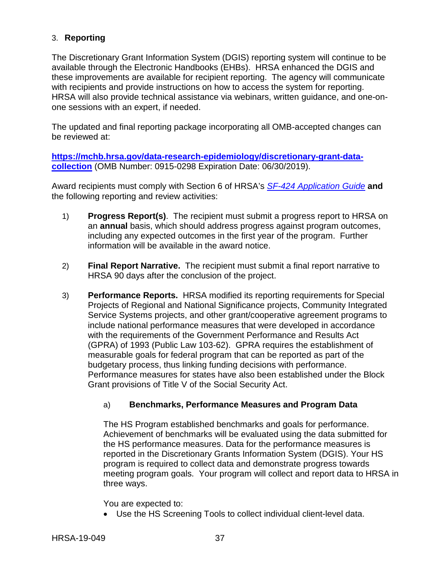## <span id="page-40-0"></span>3. **Reporting**

The Discretionary Grant Information System (DGIS) reporting system will continue to be available through the Electronic Handbooks (EHBs). HRSA enhanced the DGIS and these improvements are available for recipient reporting. The agency will communicate with recipients and provide instructions on how to access the system for reporting. HRSA will also provide technical assistance via webinars, written guidance, and one-onone sessions with an expert, if needed.

The updated and final reporting package incorporating all OMB-accepted changes can be reviewed at:

**[https://mchb.hrsa.gov/data-research-epidemiology/discretionary-grant-data](https://mchb.hrsa.gov/data-research-epidemiology/discretionary-grant-data-collection)[collection](https://mchb.hrsa.gov/data-research-epidemiology/discretionary-grant-data-collection)** (OMB Number: 0915-0298 Expiration Date: 06/30/2019).

Award recipients must comply with Section 6 of HRSA's *SF-424 [Application Guide](http://www.hrsa.gov/grants/apply/applicationguide/sf424guide.pdf)* **and** the following reporting and review activities:

- 1) **Progress Report(s)**. The recipient must submit a progress report to HRSA on an **annual** basis, which should address progress against program outcomes, including any expected outcomes in the first year of the program. Further information will be available in the award notice.
- 2) **Final Report Narrative.** The recipient must submit a final report narrative to HRSA 90 days after the conclusion of the project.
- 3) **Performance Reports.** HRSA modified its reporting requirements for Special Projects of Regional and National Significance projects, Community Integrated Service Systems projects, and other grant/cooperative agreement programs to include national performance measures that were developed in accordance with the requirements of the Government Performance and Results Act (GPRA) of 1993 (Public Law 103-62). GPRA requires the establishment of measurable goals for federal program that can be reported as part of the budgetary process, thus linking funding decisions with performance. Performance measures for states have also been established under the Block Grant provisions of Title V of the Social Security Act.

## a) **Benchmarks, Performance Measures and Program Data**

The HS Program established benchmarks and goals for performance. Achievement of benchmarks will be evaluated using the data submitted for the HS performance measures. Data for the performance measures is reported in the Discretionary Grants Information System (DGIS). Your HS program is required to collect data and demonstrate progress towards meeting program goals. Your program will collect and report data to HRSA in three ways.

#### You are expected to:

• Use the HS Screening Tools to collect individual client-level data.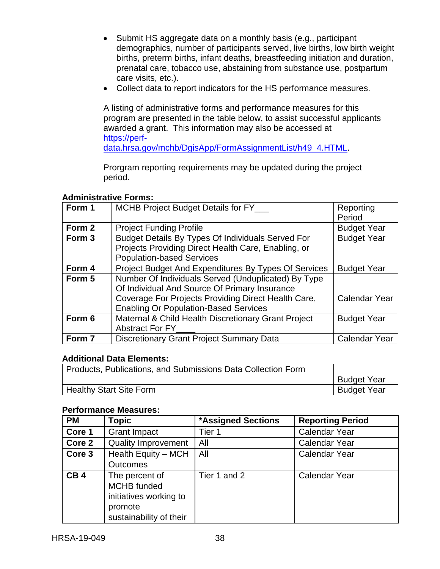- Submit HS aggregate data on a monthly basis (e.g., participant demographics, number of participants served, live births, low birth weight births, preterm births, infant deaths, breastfeeding initiation and duration, prenatal care, tobacco use, abstaining from substance use, postpartum care visits, etc.).
- Collect data to report indicators for the HS performance measures.

A listing of administrative forms and performance measures for this program are presented in the table below, to assist successful applicants awarded a grant. This information may also be accessed at [https://perf](https://perf-data.hrsa.gov/mchb/DgisApp/FormAssignmentList/h49_4.HTML)[data.hrsa.gov/mchb/DgisApp/FormAssignmentList/h49\\_4.HTML.](https://perf-data.hrsa.gov/mchb/DgisApp/FormAssignmentList/h49_4.HTML)

Prorgram reporting requirements may be updated during the project period.

#### **Administrative Forms:**

| Form 1 | MCHB Project Budget Details for FY___                                                                                                                                                                       | Reporting<br>Period |
|--------|-------------------------------------------------------------------------------------------------------------------------------------------------------------------------------------------------------------|---------------------|
| Form 2 | <b>Project Funding Profile</b>                                                                                                                                                                              | <b>Budget Year</b>  |
| Form 3 | Budget Details By Types Of Individuals Served For<br>Projects Providing Direct Health Care, Enabling, or<br><b>Population-based Services</b>                                                                | <b>Budget Year</b>  |
| Form 4 | Project Budget And Expenditures By Types Of Services                                                                                                                                                        | <b>Budget Year</b>  |
| Form 5 | Number Of Individuals Served (Unduplicated) By Type<br>Of Individual And Source Of Primary Insurance<br>Coverage For Projects Providing Direct Health Care,<br><b>Enabling Or Population-Based Services</b> | Calendar Year       |
| Form 6 | Maternal & Child Health Discretionary Grant Project<br>Abstract For FY                                                                                                                                      | <b>Budget Year</b>  |
| Form 7 | <b>Discretionary Grant Project Summary Data</b>                                                                                                                                                             | Calendar Year       |

#### **Additional Data Elements:**

| Products, Publications, and Submissions Data Collection Form |                    |
|--------------------------------------------------------------|--------------------|
|                                                              | <b>Budget Year</b> |
| <sup>1</sup> Healthy Start Site Form                         | <b>Budget Year</b> |

#### **Performance Measures:**

| <b>PM</b>       | <b>Topic</b>                                                                                  | <b>*Assigned Sections</b> | <b>Reporting Period</b> |
|-----------------|-----------------------------------------------------------------------------------------------|---------------------------|-------------------------|
| Core 1          | <b>Grant Impact</b>                                                                           | Tier 1                    | <b>Calendar Year</b>    |
| Core 2          | <b>Quality Improvement</b>                                                                    | All                       | <b>Calendar Year</b>    |
| Core 3          | Health Equity - MCH<br><b>Outcomes</b>                                                        | All                       | <b>Calendar Year</b>    |
| CB <sub>4</sub> | The percent of<br>MCHB funded<br>initiatives working to<br>promote<br>sustainability of their | Tier 1 and 2              | <b>Calendar Year</b>    |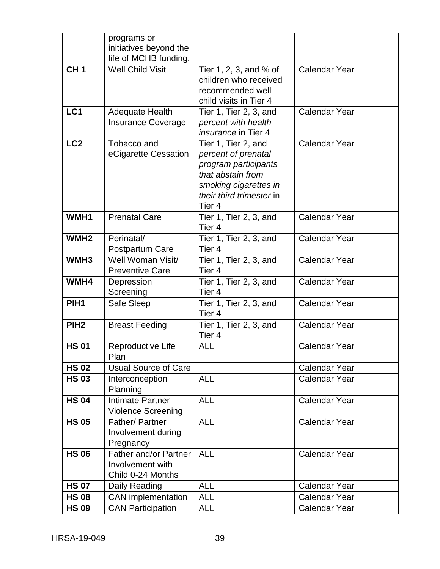|                  | programs or<br>initiatives beyond the                          |                                                                                                                                                                   |                      |
|------------------|----------------------------------------------------------------|-------------------------------------------------------------------------------------------------------------------------------------------------------------------|----------------------|
|                  | life of MCHB funding.                                          |                                                                                                                                                                   |                      |
| CH <sub>1</sub>  | <b>Well Child Visit</b>                                        | Tier 1, 2, 3, and % of<br>children who received<br>recommended well<br>child visits in Tier 4                                                                     | <b>Calendar Year</b> |
| LC1              | <b>Adequate Health</b><br><b>Insurance Coverage</b>            | Tier 1, Tier 2, 3, and<br>percent with health<br><i>insurance</i> in Tier 4                                                                                       | <b>Calendar Year</b> |
| LC <sub>2</sub>  | Tobacco and<br>eCigarette Cessation                            | Tier 1, Tier 2, and<br>percent of prenatal<br>program participants<br>that abstain from<br>smoking cigarettes in<br>their third trimester in<br>Tier <sub>4</sub> | <b>Calendar Year</b> |
| WMH1             | <b>Prenatal Care</b>                                           | Tier 1, Tier 2, 3, and<br>Tier 4                                                                                                                                  | <b>Calendar Year</b> |
| WMH <sub>2</sub> | Perinatal/<br>Postpartum Care                                  | Tier 1, Tier 2, 3, and<br>Tier <sub>4</sub>                                                                                                                       | Calendar Year        |
| WMH <sub>3</sub> | Well Woman Visit/<br><b>Preventive Care</b>                    | Tier 1, Tier 2, 3, and<br>Tier 4                                                                                                                                  | <b>Calendar Year</b> |
| WMH4             | Depression<br>Screening                                        | Tier 1, Tier 2, 3, and<br>Tier <sub>4</sub>                                                                                                                       | <b>Calendar Year</b> |
| PIH <sub>1</sub> | Safe Sleep                                                     | Tier 1, Tier 2, 3, and<br>Tier 4                                                                                                                                  | <b>Calendar Year</b> |
| PIH <sub>2</sub> | <b>Breast Feeding</b>                                          | Tier 1, Tier 2, 3, and<br>Tier <sub>4</sub>                                                                                                                       | <b>Calendar Year</b> |
| <b>HS 01</b>     | Reproductive Life<br>Plan                                      | <b>ALL</b>                                                                                                                                                        | <b>Calendar Year</b> |
| <b>HS 02</b>     | <b>Usual Source of Care</b>                                    |                                                                                                                                                                   | <b>Calendar Year</b> |
| <b>HS 03</b>     | Interconception<br>Planning                                    | <b>ALL</b>                                                                                                                                                        | <b>Calendar Year</b> |
| <b>HS 04</b>     | Intimate Partner<br><b>Violence Screening</b>                  | <b>ALL</b>                                                                                                                                                        | <b>Calendar Year</b> |
| <b>HS 05</b>     | Father/Partner<br>Involvement during<br>Pregnancy              | <b>ALL</b>                                                                                                                                                        | <b>Calendar Year</b> |
| <b>HS 06</b>     | Father and/or Partner<br>Involvement with<br>Child 0-24 Months | <b>ALL</b>                                                                                                                                                        | <b>Calendar Year</b> |
| <b>HS 07</b>     | Daily Reading                                                  | <b>ALL</b>                                                                                                                                                        | <b>Calendar Year</b> |
| <b>HS 08</b>     | <b>CAN</b> implementation                                      | <b>ALL</b>                                                                                                                                                        | <b>Calendar Year</b> |
| <b>HS 09</b>     | <b>CAN Participation</b>                                       | <b>ALL</b>                                                                                                                                                        | <b>Calendar Year</b> |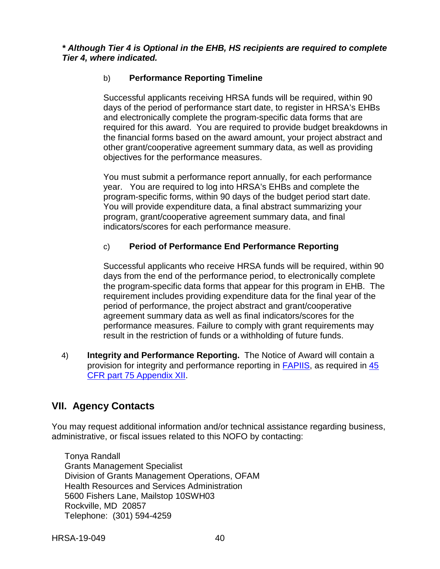*\* Although Tier 4 is Optional in the EHB, HS recipients are required to complete Tier 4, where indicated.*

## b) **Performance Reporting Timeline**

Successful applicants receiving HRSA funds will be required, within 90 days of the period of performance start date, to register in HRSA's EHBs and electronically complete the program-specific data forms that are required for this award.You are required to provide budget breakdowns in the financial forms based on the award amount, your project abstract and other grant/cooperative agreement summary data, as well as providing objectives for the performance measures.

You must submit a performance report annually, for each performance year. You are required to log into HRSA's EHBs and complete the program-specific forms, within 90 days of the budget period start date. You will provide expenditure data, a final abstract summarizing your program, grant/cooperative agreement summary data, and final indicators/scores for each performance measure.

## c) **Period of Performance End Performance Reporting**

Successful applicants who receive HRSA funds will be required, within 90 days from the end of the performance period, to electronically complete the program-specific data forms that appear for this program in EHB. The requirement includes providing expenditure data for the final year of the period of performance, the project abstract and grant/cooperative agreement summary data as well as final indicators/scores for the performance measures. Failure to comply with grant requirements may result in the restriction of funds or a withholding of future funds.

4) **Integrity and Performance Reporting.** The Notice of Award will contain a provision for integrity and performance reporting in [FAPIIS,](https://www.fapiis.gov/) as required in [45](http://www.ecfr.gov/cgi-bin/retrieveECFR?gp=1&SID=4d52364ec83fab994c665943dadf9cf7&ty=HTML&h=L&r=PART&n=pt45.1.75#ap45.1.75_1521.xii)  [CFR part 75 Appendix XII.](http://www.ecfr.gov/cgi-bin/retrieveECFR?gp=1&SID=4d52364ec83fab994c665943dadf9cf7&ty=HTML&h=L&r=PART&n=pt45.1.75#ap45.1.75_1521.xii)

# <span id="page-43-0"></span>**VII. Agency Contacts**

You may request additional information and/or technical assistance regarding business, administrative, or fiscal issues related to this NOFO by contacting:

Tonya Randall Grants Management Specialist Division of Grants Management Operations, OFAM Health Resources and Services Administration 5600 Fishers Lane, Mailstop 10SWH03 Rockville, MD 20857 Telephone: (301) 594-4259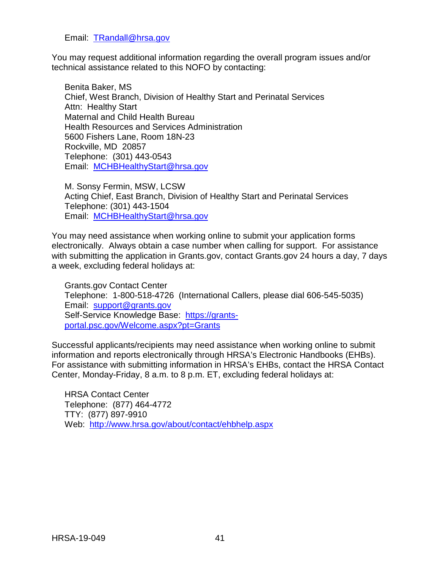#### Email: [TRandall@hrsa.gov](mailto:TRandall@hrsa.gov)

You may request additional information regarding the overall program issues and/or technical assistance related to this NOFO by contacting:

Benita Baker, MS Chief, West Branch, Division of Healthy Start and Perinatal Services Attn: Healthy Start Maternal and Child Health Bureau Health Resources and Services Administration 5600 Fishers Lane, Room 18N-23 Rockville, MD 20857 Telephone: (301) 443-0543 Email: [MCHBHealthyStart@hrsa.gov](mailto:MCHBHealthyStart@hrsa.gov)

M. Sonsy Fermin, MSW, LCSW Acting Chief, East Branch, Division of Healthy Start and Perinatal Services Telephone: (301) 443-1504 Email: [MCHBHealthyStart@hrsa.gov](mailto:MCHBHealthyStart@hrsa.gov)

You may need assistance when working online to submit your application forms electronically. Always obtain a case number when calling for support. For assistance with submitting the application in Grants.gov, contact Grants.gov 24 hours a day, 7 days a week, excluding federal holidays at:

Grants.gov Contact Center Telephone: 1-800-518-4726 (International Callers, please dial 606-545-5035) Email: [support@grants.gov](mailto:support@grants.gov) Self-Service Knowledge Base: [https://grants](https://grants-portal.psc.gov/Welcome.aspx?pt=Grants)[portal.psc.gov/Welcome.aspx?pt=Grants](https://grants-portal.psc.gov/Welcome.aspx?pt=Grants)

Successful applicants/recipients may need assistance when working online to submit information and reports electronically through HRSA's Electronic Handbooks (EHBs). For assistance with submitting information in HRSA's EHBs, contact the HRSA Contact Center, Monday-Friday, 8 a.m. to 8 p.m. ET, excluding federal holidays at:

<span id="page-44-0"></span>HRSA Contact Center Telephone: (877) 464-4772 TTY: (877) 897-9910 Web: <http://www.hrsa.gov/about/contact/ehbhelp.aspx>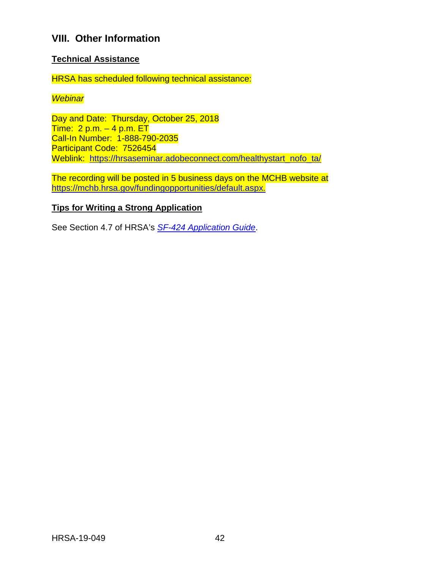# **VIII. Other Information**

#### **Technical Assistance**

HRSA has scheduled following technical assistance:

#### *Webinar*

Day and Date: Thursday, October 25, 2018 Time:  $2 p.m. - 4 p.m. ETT$ Call-In Number: 1-888-790-2035 Participant Code: 7526454 Weblink: [https://hrsaseminar.adobeconnect.com/healthystart\\_nofo\\_ta/](https://hrsaseminar.adobeconnect.com/healthystart_nofo_ta/)

The recording will be posted in 5 business days on the MCHB website at [https://mchb.hrsa.gov/fundingopportunities/default.aspx.](https://mchb.hrsa.gov/fundingopportunities/default.aspx)

#### **Tips for Writing a Strong Application**

See Section 4.7 of HRSA's *SF-424 [Application Guide](http://www.hrsa.gov/grants/apply/applicationguide/sf424guide.pdf)*.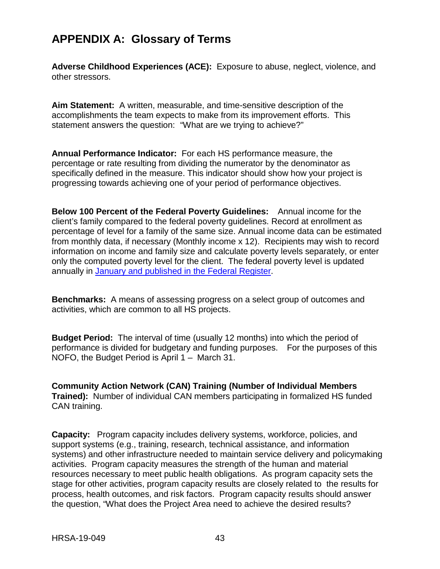# <span id="page-46-0"></span>**APPENDIX A: Glossary of Terms**

**Adverse Childhood Experiences (ACE):** Exposure to abuse, neglect, violence, and other stressors.

**Aim Statement:** A written, measurable, and time-sensitive description of the accomplishments the team expects to make from its improvement efforts. This statement answers the question: "What are we trying to achieve?"

**Annual Performance Indicator:** For each HS performance measure, the percentage or rate resulting from dividing the numerator by the denominator as specifically defined in the measure. This indicator should show how your project is progressing towards achieving one of your period of performance objectives.

**Below 100 Percent of the Federal Poverty Guidelines:** Annual income for the client's family compared to the federal poverty guidelines. Record at enrollment as percentage of level for a family of the same size. Annual income data can be estimated from monthly data, if necessary (Monthly income x 12). Recipients may wish to record information on income and family size and calculate poverty levels separately, or enter only the computed poverty level for the client. The federal poverty level is updated annually in January and published [in the Federal](https://www.federalregister.gov/documents/2018/01/18/2018-00814/annual-update-of-the-hhs-poverty-guidelines) Register.

**Benchmarks:** A means of assessing progress on a select group of outcomes and activities, which are common to all HS projects.

**Budget Period:** The interval of time (usually 12 months) into which the period of performance is divided for budgetary and funding purposes. For the purposes of this NOFO, the Budget Period is April 1 – March 31.

**Community Action Network (CAN) Training (Number of Individual Members Trained):** Number of individual CAN members participating in formalized HS funded CAN training.

**Capacity:** Program capacity includes delivery systems, workforce, policies, and support systems (e.g., training, research, technical assistance, and information systems) and other infrastructure needed to maintain service delivery and policymaking activities. Program capacity measures the strength of the human and material resources necessary to meet public health obligations. As program capacity sets the stage for other activities, program capacity results are closely related to the results for process, health outcomes, and risk factors. Program capacity results should answer the question, "What does the Project Area need to achieve the desired results?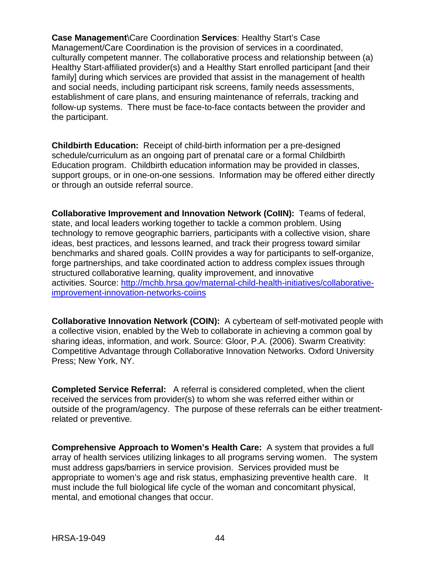**Case Management**\Care Coordination **Services**: Healthy Start's Case Management/Care Coordination is the provision of services in a coordinated, culturally competent manner. The collaborative process and relationship between (a) Healthy Start-affiliated provider(s) and a Healthy Start enrolled participant [and their family] during which services are provided that assist in the management of health and social needs, including participant risk screens, family needs assessments, establishment of care plans, and ensuring maintenance of referrals, tracking and follow-up systems. There must be face-to-face contacts between the provider and the participant.

**Childbirth Education:** Receipt of child-birth information per a pre-designed schedule/curriculum as an ongoing part of prenatal care or a formal Childbirth Education program. Childbirth education information may be provided in classes, support groups, or in one-on-one sessions. Information may be offered either directly or through an outside referral source.

**Collaborative Improvement and Innovation Network (CoIIN):** Teams of federal, state, and local leaders working together to tackle a common problem. Using technology to remove geographic barriers, participants with a collective vision, share ideas, best practices, and lessons learned, and track their progress toward similar benchmarks and shared goals. CoIIN provides a way for participants to self-organize, forge partnerships, and take coordinated action to address complex issues through structured collaborative learning, quality improvement, and innovative activities. Source: [http://mchb.hrsa.gov/maternal-child-health-initiatives/collaborative](http://mchb.hrsa.gov/maternal-child-health-initiatives/collaborative-improvement-innovation-networks-coiins)[improvement-innovation-networks-coiins](http://mchb.hrsa.gov/maternal-child-health-initiatives/collaborative-improvement-innovation-networks-coiins)

**Collaborative Innovation Network (COIN):** A cyberteam of self-motivated people with a collective vision, enabled by the Web to collaborate in achieving a common goal by sharing ideas, information, and work. Source: Gloor, P.A. (2006). Swarm Creativity: Competitive Advantage through Collaborative Innovation Networks. Oxford University Press; New York, NY.

**Completed Service Referral:** A referral is considered completed, when the client received the services from provider(s) to whom she was referred either within or outside of the program/agency. The purpose of these referrals can be either treatmentrelated or preventive.

**Comprehensive Approach to Women's Health Care:** A system that provides a full array of health services utilizing linkages to all programs serving women. The system must address gaps/barriers in service provision. Services provided must be appropriate to women's age and risk status, emphasizing preventive health care. It must include the full biological life cycle of the woman and concomitant physical, mental, and emotional changes that occur.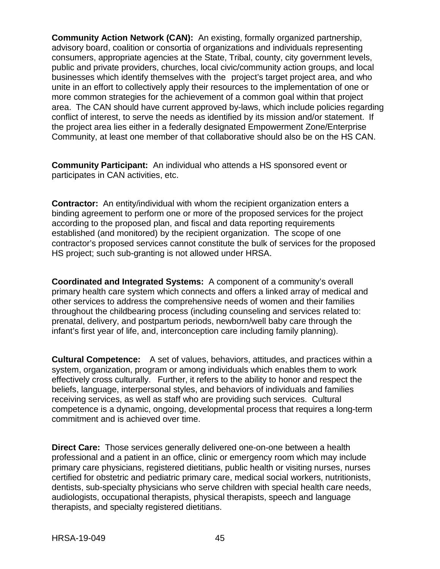**Community Action Network (CAN):** An existing, formally organized partnership, advisory board, coalition or consortia of organizations and individuals representing consumers, appropriate agencies at the State, Tribal, county, city government levels, public and private providers, churches, local civic/community action groups, and local businesses which identify themselves with the project's target project area, and who unite in an effort to collectively apply their resources to the implementation of one or more common strategies for the achievement of a common goal within that project area. The CAN should have current approved by-laws, which include policies regarding conflict of interest, to serve the needs as identified by its mission and/or statement. If the project area lies either in a federally designated Empowerment Zone/Enterprise Community, at least one member of that collaborative should also be on the HS CAN.

**Community Participant:** An individual who attends a HS sponsored event or participates in CAN activities, etc.

**Contractor:** An entity/individual with whom the recipient organization enters a binding agreement to perform one or more of the proposed services for the project according to the proposed plan, and fiscal and data reporting requirements established (and monitored) by the recipient organization. The scope of one contractor's proposed services cannot constitute the bulk of services for the proposed HS project; such sub-granting is not allowed under HRSA.

**Coordinated and Integrated Systems:** A component of a community's overall primary health care system which connects and offers a linked array of medical and other services to address the comprehensive needs of women and their families throughout the childbearing process (including counseling and services related to: prenatal, delivery, and postpartum periods, newborn/well baby care through the infant's first year of life, and, interconception care including family planning).

**Cultural Competence:** A set of values, behaviors, attitudes, and practices within a system, organization, program or among individuals which enables them to work effectively cross culturally. Further, it refers to the ability to honor and respect the beliefs, language, interpersonal styles, and behaviors of individuals and families receiving services, as well as staff who are providing such services. Cultural competence is a dynamic, ongoing, developmental process that requires a long-term commitment and is achieved over time.

**Direct Care:** Those services generally delivered one-on-one between a health professional and a patient in an office, clinic or emergency room which may include primary care physicians, registered dietitians, public health or visiting nurses, nurses certified for obstetric and pediatric primary care, medical social workers, nutritionists, dentists, sub-specialty physicians who serve children with special health care needs, audiologists, occupational therapists, physical therapists, speech and language therapists, and specialty registered dietitians.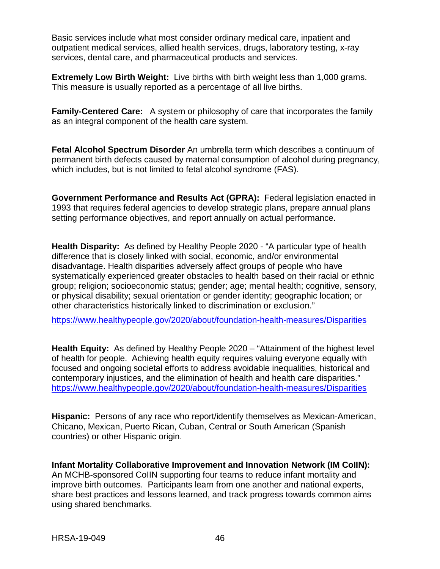Basic services include what most consider ordinary medical care, inpatient and outpatient medical services, allied health services, drugs, laboratory testing, x-ray services, dental care, and pharmaceutical products and services.

**Extremely Low Birth Weight:** Live births with birth weight less than 1,000 grams. This measure is usually reported as a percentage of all live births.

**Family-Centered Care:** A system or philosophy of care that incorporates the family as an integral component of the health care system.

**Fetal Alcohol Spectrum Disorder** An [umbrella term](http://en.wikipedia.org/wiki/Umbrella_term) which describes a continuum of permanent [birth defects](http://en.wikipedia.org/wiki/Birth_defect) caused by [maternal](http://en.wikipedia.org/wiki/Mother) consumption of [alcohol](http://en.wikipedia.org/wiki/Alcohol) during [pregnancy,](http://en.wikipedia.org/wiki/Pregnancy) which includes, but is not limited to fetal alcohol [syndrome](http://en.wikipedia.org/wiki/Fetal_alcohol_syndrome) (FAS).

**Government Performance and Results Act (GPRA):** Federal legislation enacted in 1993 that requires federal agencies to develop strategic plans, prepare annual plans setting performance objectives, and report annually on actual performance.

**Health Disparity:** As defined by Healthy People 2020 - "A particular type of health difference that is closely linked with social, economic, and/or environmental disadvantage. Health disparities adversely affect groups of people who have systematically experienced greater obstacles to health based on their racial or ethnic group; religion; socioeconomic status; gender; age; mental health; cognitive, sensory, or physical disability; sexual orientation or gender identity; geographic location; or other characteristics historically linked to discrimination or exclusion."

<https://www.healthypeople.gov/2020/about/foundation-health-measures/Disparities>

**Health Equity:** As defined by Healthy People 2020 – "Attainment of the highest level of health for people. Achieving health equity requires valuing everyone equally with focused and ongoing societal efforts to address avoidable inequalities, historical and contemporary injustices, and the elimination of health and health care disparities." <https://www.healthypeople.gov/2020/about/foundation-health-measures/Disparities>

**Hispanic:** Persons of any race who report/identify themselves as Mexican-American, Chicano, Mexican, Puerto Rican, Cuban, Central or South American (Spanish countries) or other Hispanic origin.

**Infant Mortality Collaborative Improvement and Innovation Network (IM CoIIN):**  An MCHB-sponsored CoIIN supporting four teams to reduce infant mortality and improve birth outcomes. Participants learn from one another and national experts, share best practices and lessons learned, and track progress towards common aims using shared benchmarks.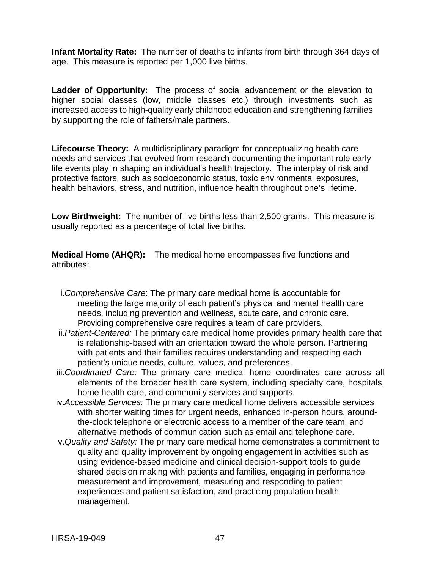**Infant Mortality Rate:** The number of deaths to infants from birth through 364 days of age. This measure is reported per 1,000 live births.

**Ladder of Opportunity:** The process of social advancement or the elevation to higher social classes (low, middle classes etc.) through investments such as increased access to high-quality early childhood education and strengthening families by supporting the role of fathers/male partners.

**Lifecourse Theory:** A multidisciplinary paradigm for conceptualizing health care needs and services that evolved from research documenting the important role early life events play in shaping an individual's health trajectory. The interplay of risk and protective factors, such as socioeconomic status, toxic environmental exposures, health behaviors, stress, and nutrition, influence health throughout one's lifetime.

**Low Birthweight:** The number of live births less than 2,500 grams. This measure is usually reported as a percentage of total live births.

**Medical Home (AHQR):** The medical home encompasses five functions and attributes:

- i.*Comprehensive Care*: The primary care medical home is accountable for meeting the large majority of each patient's physical and mental health care needs, including prevention and wellness, acute care, and chronic care. Providing comprehensive care requires a team of care providers.
- ii.*Patient-Centered:* The primary care medical home provides primary health care that is relationship-based with an orientation toward the whole person. Partnering with patients and their families requires understanding and respecting each patient's unique needs, culture, values, and preferences.
- iii.*Coordinated Care:* The primary care medical home coordinates care across all elements of the broader health care system, including specialty care, hospitals, home health care, and community services and supports.
- iv.*Accessible Services:* The primary care medical home delivers accessible services with shorter waiting times for urgent needs, enhanced in-person hours, aroundthe-clock telephone or electronic access to a member of the care team, and alternative methods of communication such as email and telephone care.
- v.*Quality and Safety:* The primary care medical home demonstrates a commitment to quality and quality improvement by ongoing engagement in activities such as using evidence-based medicine and clinical decision-support tools to guide shared decision making with patients and families, engaging in performance measurement and improvement, measuring and responding to patient experiences and patient satisfaction, and practicing population health management.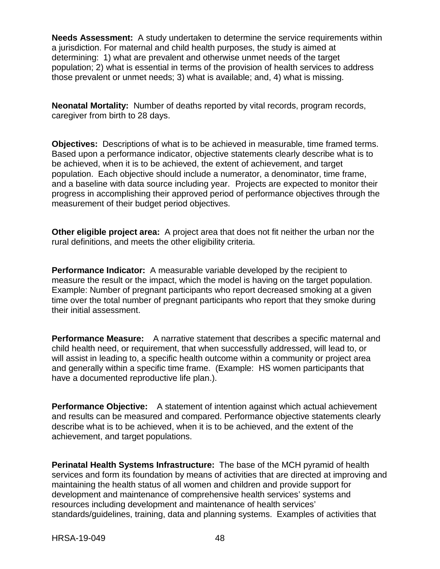**Needs Assessment:** A study undertaken to determine the service requirements within a jurisdiction. For maternal and child health purposes, the study is aimed at determining: 1) what are prevalent and otherwise unmet needs of the target population; 2) what is essential in terms of the provision of health services to address those prevalent or unmet needs; 3) what is available; and, 4) what is missing.

**Neonatal Mortality:** Number of deaths reported by vital records, program records, caregiver from birth to 28 days.

**Objectives:** Descriptions of what is to be achieved in measurable, time framed terms. Based upon a performance indicator, objective statements clearly describe what is to be achieved, when it is to be achieved, the extent of achievement, and target population. Each objective should include a numerator, a denominator, time frame, and a baseline with data source including year. Projects are expected to monitor their progress in accomplishing their approved period of performance objectives through the measurement of their budget period objectives.

**Other eligible project area:** A project area that does not fit neither the urban nor the rural definitions, and meets the other eligibility criteria.

**Performance Indicator:** A measurable variable developed by the recipient to measure the result or the impact, which the model is having on the target population. Example: Number of pregnant participants who report decreased smoking at a given time over the total number of pregnant participants who report that they smoke during their initial assessment.

**Performance Measure:** A narrative statement that describes a specific maternal and child health need, or requirement, that when successfully addressed, will lead to, or will assist in leading to, a specific health outcome within a community or project area and generally within a specific time frame. (Example: HS women participants that have a documented reproductive life plan.).

**Performance Objective:** A statement of intention against which actual achievement and results can be measured and compared. Performance objective statements clearly describe what is to be achieved, when it is to be achieved, and the extent of the achievement, and target populations.

**Perinatal Health Systems Infrastructure:** The base of the MCH pyramid of health services and form its foundation by means of activities that are directed at improving and maintaining the health status of all women and children and provide support for development and maintenance of comprehensive health services' systems and resources including development and maintenance of health services' standards/guidelines, training, data and planning systems. Examples of activities that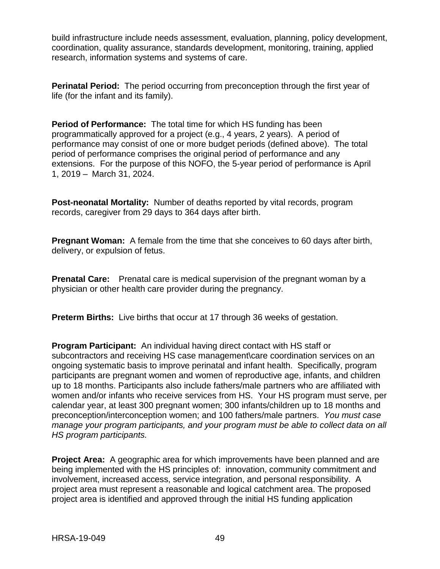build infrastructure include needs assessment, evaluation, planning, policy development, coordination, quality assurance, standards development, monitoring, training, applied research, information systems and systems of care.

**Perinatal Period:** The period occurring from preconception through the first year of life (for the infant and its family).

**Period of Performance:** The total time for which HS funding has been programmatically approved for a project (e.g., 4 years, 2 years). A period of performance may consist of one or more budget periods (defined above). The total period of performance comprises the original period of performance and any extensions. For the purpose of this NOFO, the 5-year period of performance is April 1, 2019 – March 31, 2024.

**Post-neonatal Mortality:** Number of deaths reported by vital records, program records, caregiver from 29 days to 364 days after birth.

**Pregnant Woman:** A female from the time that she conceives to 60 days after birth, delivery, or expulsion of fetus.

**Prenatal Care:** Prenatal care is medical supervision of the pregnant woman by a physician or other health care provider during the pregnancy.

**Preterm Births:** Live births that occur at 17 through 36 weeks of gestation.

**Program Participant:** An individual having direct contact with HS staff or subcontractors and receiving HS case management\care coordination services on an ongoing systematic basis to improve perinatal and infant health. Specifically, program participants are pregnant women and women of reproductive age, infants, and children up to 18 months. Participants also include fathers/male partners who are affiliated with women and/or infants who receive services from HS. Your HS program must serve, per calendar year, at least 300 pregnant women; 300 infants/children up to 18 months and preconception/interconception women; and 100 fathers/male partners. *You must case manage your program participants, and your program must be able to collect data on all HS program participants.*

**Project Area:** A geographic area for which improvements have been planned and are being implemented with the HS principles of: innovation, community commitment and involvement, increased access, service integration, and personal responsibility. A project area must represent a reasonable and logical catchment area. The proposed project area is identified and approved through the initial HS funding application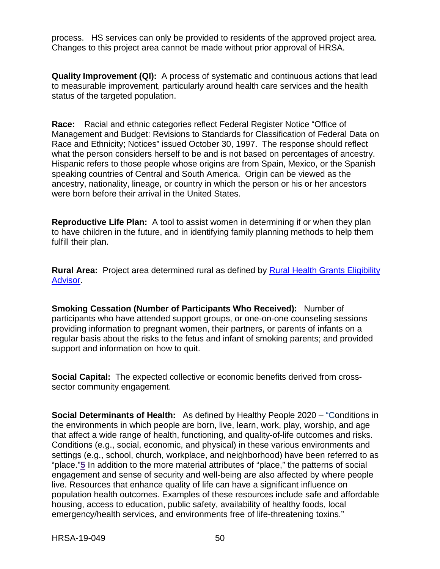process. HS services can only be provided to residents of the approved project area. Changes to this project area cannot be made without prior approval of HRSA.

**Quality Improvement (QI):** A process of systematic and continuous actions that lead to measurable improvement, particularly around health care services and the health status of the targeted population.

**Race:** Racial and ethnic categories reflect Federal Register Notice "Office of Management and Budget: Revisions to Standards for Classification of Federal Data on Race and Ethnicity; Notices" issued October 30, 1997. The response should reflect what the person considers herself to be and is not based on percentages of ancestry. Hispanic refers to those people whose origins are from Spain, Mexico, or the Spanish speaking countries of Central and South America. Origin can be viewed as the ancestry, nationality, lineage, or country in which the person or his or her ancestors were born before their arrival in the United States.

**Reproductive Life Plan:** A tool to assist women in determining if or when they plan to have children in the future, and in identifying family planning methods to help them fulfill their plan.

**Rural Area:** Project area determined rural as defined by Rural [Health Grants](http://datawarehouse.hrsa.gov/RuralAdvisor/ruralhealthadvisor.aspx?ruralByAddr=1) Eligibility [Advisor.](http://datawarehouse.hrsa.gov/RuralAdvisor/ruralhealthadvisor.aspx?ruralByAddr=1)

**Smoking Cessation (Number of Participants Who Received):** Number of participants who have attended support groups, or one-on-one counseling sessions providing information to pregnant women, their partners, or parents of infants on a regular basis about the risks to the fetus and infant of smoking parents; and provided support and information on how to quit.

**Social Capital:** The expected collective or economic benefits derived from crosssector community engagement.

**Social Determinants of Health:** As defined by Healthy People 2020 – "Conditions in the environments in which people are born, live, learn, work, play, worship, and age that affect a wide range of health, functioning, and quality-of-life outcomes and risks. Conditions (e.g., social, economic, and physical) in these various environments and settings (e.g., school, church, workplace, and neighborhood) have been referred to as "place."**[5](https://www.healthypeople.gov/2020/topics-objectives/topic/social-determinants-of-health#five)** In addition to the more material attributes of "place," the patterns of social engagement and sense of security and well-being are also affected by where people live. Resources that enhance quality of life can have a significant influence on population health outcomes. Examples of these resources include safe and affordable housing, access to education, public safety, availability of healthy foods, local emergency/health services, and environments free of life-threatening toxins."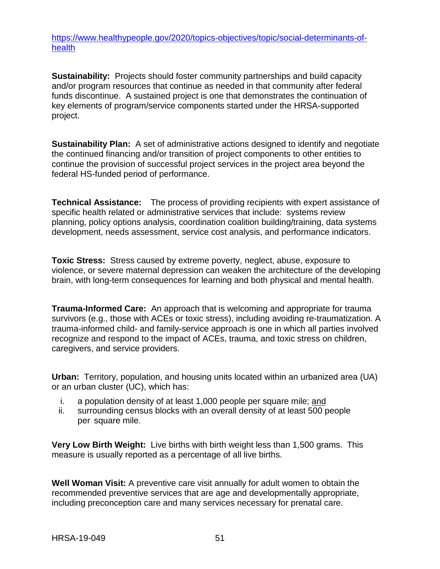[https://www.healthypeople.gov/2020/topics-objectives/topic/social-determinants-of](https://www.healthypeople.gov/2020/topics-objectives/topic/social-determinants-of-health)[health](https://www.healthypeople.gov/2020/topics-objectives/topic/social-determinants-of-health)

**Sustainability:** Projects should foster community partnerships and build capacity and/or program resources that continue as needed in that community after federal funds discontinue. A sustained project is one that demonstrates the continuation of key elements of program/service components started under the HRSA-supported project.

**Sustainability Plan:** A set of administrative actions designed to identify and negotiate the continued financing and/or transition of project components to other entities to continue the provision of successful project services in the project area beyond the federal HS-funded period of performance.

**Technical Assistance:** The process of providing recipients with expert assistance of specific health related or administrative services that include: systems review planning, policy options analysis, coordination coalition building/training, data systems development, needs assessment, service cost analysis, and performance indicators.

**Toxic Stress:** Stress caused by extreme poverty, neglect, abuse, exposure to violence, or severe maternal depression can weaken the architecture of the developing brain, with long-term consequences for learning and both physical and mental health.

**Trauma-Informed Care:** An approach that is welcoming and appropriate for trauma survivors (e.g., those with ACEs or toxic stress), including avoiding re-traumatization. A trauma-informed child- and family-service approach is one in which all parties involved recognize and respond to the impact of ACEs, trauma, and toxic stress on children, caregivers, and service providers.

**Urban:** Territory, population, and housing units located within an urbanized area (UA) or an urban cluster (UC), which has:

- i. a population density of at least 1,000 people per square mile; and
- ii. surrounding census blocks with an overall density of at least 500 people per square mile.

**Very Low Birth Weight:** Live births with birth weight less than 1,500 grams. This measure is usually reported as a percentage of all live births.

**Well Woman Visit:** A preventive care visit annually for adult women to obtain the recommended preventive services that are age and developmentally appropriate, including preconception care and many services necessary for prenatal care.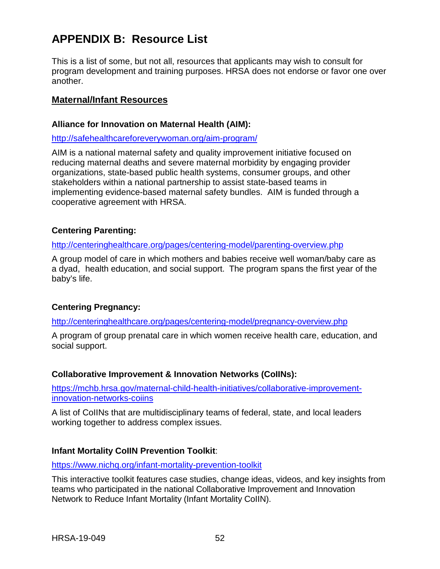# <span id="page-55-0"></span>**APPENDIX B: Resource List**

This is a list of some, but not all, resources that applicants may wish to consult for program development and training purposes. HRSA does not endorse or favor one over another.

#### **Maternal/Infant Resources**

#### **Alliance for Innovation on Maternal Health (AIM):**

#### <http://safehealthcareforeverywoman.org/aim-program/>

AIM is a national maternal safety and quality improvement initiative focused on reducing maternal deaths and severe maternal morbidity by engaging provider organizations, state-based public health systems, consumer groups, and other stakeholders within a national partnership to assist state-based teams in implementing evidence-based maternal safety bundles. AIM is funded through a cooperative agreement with HRSA.

#### **Centering Parenting:**

<http://centeringhealthcare.org/pages/centering-model/parenting-overview.php>

A group model of care in which mothers and babies receive well woman/baby care as a dyad, health education, and social support. The program spans the first year of the baby's life.

#### **Centering Pregnancy:**

<http://centeringhealthcare.org/pages/centering-model/pregnancy-overview.php>

A program of group prenatal care in which women receive health care, education, and social support.

#### **Collaborative Improvement & Innovation Networks (CoIINs):**

[https://mchb.hrsa.gov/maternal-child-health-initiatives/collaborative-improvement](https://mchb.hrsa.gov/maternal-child-health-initiatives/collaborative-improvement-innovation-networks-coiins)[innovation-networks-coiins](https://mchb.hrsa.gov/maternal-child-health-initiatives/collaborative-improvement-innovation-networks-coiins)

A list of CoIINs that are multidisciplinary teams of federal, state, and local leaders working together to address complex issues.

## **Infant Mortality CoIIN Prevention Toolkit**:

<https://www.nichq.org/infant-mortality-prevention-toolkit>

This interactive toolkit features case studies, change ideas, videos, and key insights from teams who participated in the national Collaborative Improvement and Innovation Network to Reduce Infant Mortality (Infant Mortality CoIIN).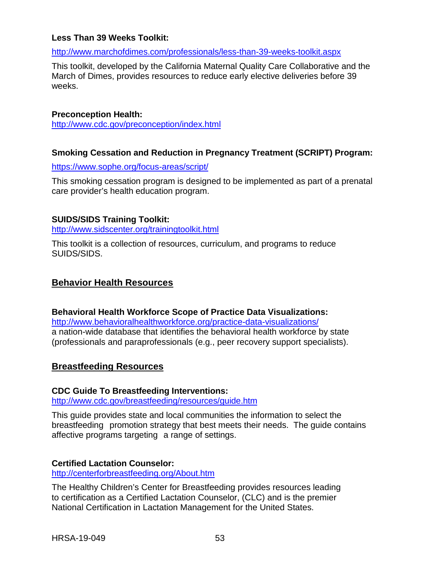#### **Less Than 39 Weeks Toolkit:**

#### <http://www.marchofdimes.com/professionals/less-than-39-weeks-toolkit.aspx>

This toolkit, developed by the California Maternal Quality Care Collaborative and the March of Dimes, provides resources to reduce early elective deliveries before 39 weeks.

#### **Preconception Health:**

<http://www.cdc.gov/preconception/index.html>

#### **Smoking Cessation and Reduction in Pregnancy Treatment (SCRIPT) Program:**

<https://www.sophe.org/focus-areas/script/>

This smoking cessation program is designed to be implemented as part of a prenatal care provider's health education program.

#### **SUIDS/SIDS Training Toolkit:**

<http://www.sidscenter.org/trainingtoolkit.html>

This toolkit is a collection of resources, curriculum, and programs to reduce SUIDS/SIDS.

#### **Behavior Health Resources**

**Behavioral Health Workforce Scope of Practice Data Visualizations:** <http://www.behavioralhealthworkforce.org/practice-data-visualizations/> a nation-wide database that identifies the behavioral health workforce by state (professionals and paraprofessionals (e.g., peer recovery support specialists).

## **Breastfeeding Resources**

#### **CDC Guide To Breastfeeding Interventions:**

<http://www.cdc.gov/breastfeeding/resources/guide.htm>

This guide provides state and local communities the information to select the breastfeeding promotion strategy that best meets their needs. The guide contains affective programs targeting a range of settings.

#### **Certified Lactation Counselor:**

<http://centerforbreastfeeding.org/About.htm>

The Healthy Children's Center for Breastfeeding provides resources leading to certification as a Certified Lactation Counselor, (CLC) and is the premier National Certification in Lactation Management for the United States.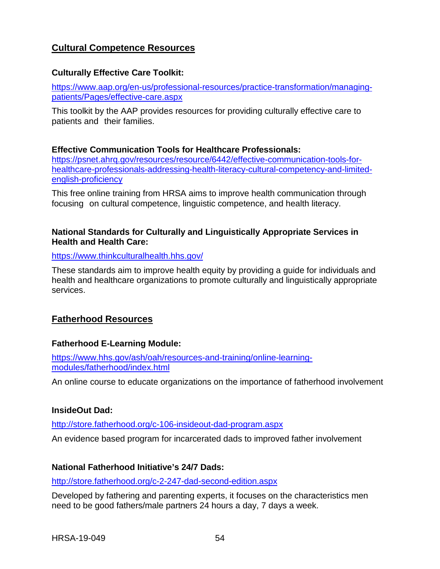# **Cultural Competence Resources**

#### **Culturally Effective Care Toolkit:**

[https://www.aap.org/en-us/professional-resources/practice-transformation/managing](https://www.aap.org/en-us/professional-resources/practice-transformation/managing-patients/Pages/effective-care.aspx)[patients/Pages/effective-care.aspx](https://www.aap.org/en-us/professional-resources/practice-transformation/managing-patients/Pages/effective-care.aspx)

This toolkit by the AAP provides resources for providing culturally effective care to patients and their families.

#### **Effective Communication Tools for Healthcare Professionals:**

[https://psnet.ahrq.gov/resources/resource/6442/effective-communication-tools-for](https://psnet.ahrq.gov/resources/resource/6442/effective-communication-tools-for-healthcare-professionals-addressing-health-literacy-cultural-competency-and-limited-english-proficiency)[healthcare-professionals-addressing-health-literacy-cultural-competency-and-limited](https://psnet.ahrq.gov/resources/resource/6442/effective-communication-tools-for-healthcare-professionals-addressing-health-literacy-cultural-competency-and-limited-english-proficiency)[english-proficiency](https://psnet.ahrq.gov/resources/resource/6442/effective-communication-tools-for-healthcare-professionals-addressing-health-literacy-cultural-competency-and-limited-english-proficiency)

This free online training from HRSA aims to improve health communication through focusing on cultural competence, linguistic competence, and health literacy.

#### **National Standards for Culturally and Linguistically Appropriate Services in Health and Health Care:**

#### <https://www.thinkculturalhealth.hhs.gov/>

These standards aim to improve health equity by providing a guide for individuals and health and healthcare organizations to promote culturally and linguistically appropriate services.

## **Fatherhood Resources**

#### **Fatherhood E-Learning Module:**

[https://www.hhs.gov/ash/oah/resources-and-training/online-learning](https://www.hhs.gov/ash/oah/resources-and-training/online-learning-modules/fatherhood/index.html)[modules/fatherhood/index.html](https://www.hhs.gov/ash/oah/resources-and-training/online-learning-modules/fatherhood/index.html)

An online course to educate organizations on the importance of fatherhood involvement

#### **InsideOut Dad:**

<http://store.fatherhood.org/c-106-insideout-dad-program.aspx>

An evidence based program for incarcerated dads to improved father involvement

#### **National Fatherhood Initiative's 24/7 Dads:**

<http://store.fatherhood.org/c-2-247-dad-second-edition.aspx>

Developed by fathering and parenting experts, it focuses on the characteristics men need to be good fathers/male partners 24 hours a day, 7 days a week.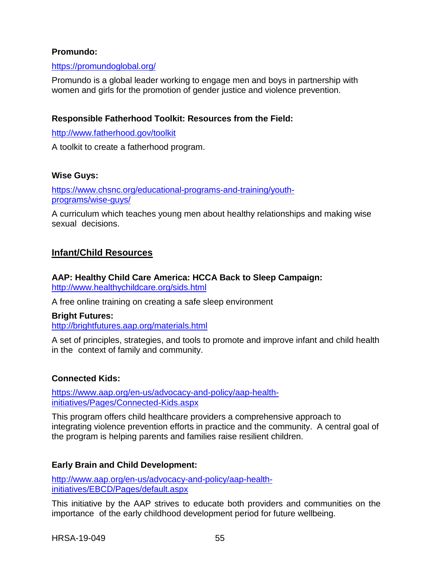### **Promundo:**

#### <https://promundoglobal.org/>

Promundo is a global leader working to engage men and boys in partnership with women and girls for the promotion of gender justice and violence prevention.

#### **Responsible Fatherhood Toolkit: Resources from the Field:**

<http://www.fatherhood.gov/toolkit>

A toolkit to create a fatherhood program.

#### **Wise Guys:**

[https://www.chsnc.org/educational-programs-and-training/youth](https://www.chsnc.org/educational-programs-and-training/youth-programs/wise-guys/)[programs/wise-guys/](https://www.chsnc.org/educational-programs-and-training/youth-programs/wise-guys/)

A curriculum which teaches young men about healthy relationships and making wise sexual decisions.

## **Infant/Child Resources**

# **AAP: Healthy Child Care America: HCCA Back to Sleep Campaign:**

<http://www.healthychildcare.org/sids.html>

A free online training on creating a safe sleep environment

#### **Bright Futures:**

<http://brightfutures.aap.org/materials.html>

A set of principles, strategies, and tools to promote and improve infant and child health in the context of family and community.

#### **Connected Kids:**

[https://www.aap.org/en-us/advocacy-and-policy/aap-health](https://www.aap.org/en-us/advocacy-and-policy/aap-health-initiatives/Pages/Connected-Kids.aspx)[initiatives/Pages/Connected-Kids.aspx](https://www.aap.org/en-us/advocacy-and-policy/aap-health-initiatives/Pages/Connected-Kids.aspx)

This program offers child healthcare providers a comprehensive approach to integrating violence prevention efforts in practice and the community. A central goal of the program is helping parents and families raise resilient children.

#### **Early Brain and Child Development:**

[http://www.aap.org/en-us/advocacy-and-policy/aap-health](http://www.aap.org/en-us/advocacy-and-policy/aap-health-initiatives/EBCD/Pages/default.aspx)[initiatives/EBCD/Pages/default.aspx](http://www.aap.org/en-us/advocacy-and-policy/aap-health-initiatives/EBCD/Pages/default.aspx)

This initiative by the AAP strives to educate both providers and communities on the importance of the early childhood development period for future wellbeing.